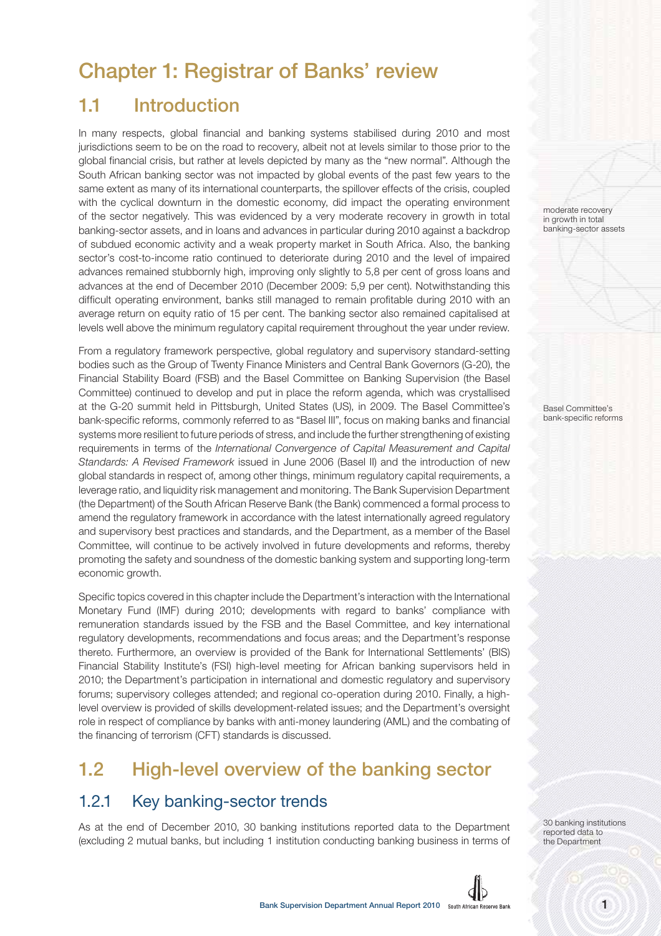# **Chapter 1: Registrar of Banks' review**

# **1.1 Introduction**

In many respects, global financial and banking systems stabilised during 2010 and most jurisdictions seem to be on the road to recovery, albeit not at levels similar to those prior to the global financial crisis, but rather at levels depicted by many as the "new normal". Although the South African banking sector was not impacted by global events of the past few years to the same extent as many of its international counterparts, the spillover effects of the crisis, coupled with the cyclical downturn in the domestic economy, did impact the operating environment of the sector negatively. This was evidenced by a very moderate recovery in growth in total banking-sector assets, and in loans and advances in particular during 2010 against a backdrop of subdued economic activity and a weak property market in South Africa. Also, the banking sector's cost-to-income ratio continued to deteriorate during 2010 and the level of impaired advances remained stubbornly high, improving only slightly to 5,8 per cent of gross loans and advances at the end of December 2010 (December 2009: 5,9 per cent). Notwithstanding this difficult operating environment, banks still managed to remain profitable during 2010 with an average return on equity ratio of 15 per cent. The banking sector also remained capitalised at levels well above the minimum regulatory capital requirement throughout the year under review.

From a regulatory framework perspective, global regulatory and supervisory standard-setting bodies such as the Group of Twenty Finance Ministers and Central Bank Governors (G-20), the Financial Stability Board (FSB) and the Basel Committee on Banking Supervision (the Basel Committee) continued to develop and put in place the reform agenda, which was crystallised at the G-20 summit held in Pittsburgh, United States (US), in 2009. The Basel Committee's bank-specific reforms, commonly referred to as "Basel III", focus on making banks and financial systems more resilient to future periods of stress, and include the further strengthening of existing requirements in terms of the International Convergence of Capital Measurement and Capital Standards: A Revised Framework issued in June 2006 (Basel II) and the introduction of new global standards in respect of, among other things, minimum regulatory capital requirements, a leverage ratio, and liquidity risk management and monitoring. The Bank Supervision Department (the Department) of the South African Reserve Bank (the Bank) commenced a formal process to amend the regulatory framework in accordance with the latest internationally agreed regulatory and supervisory best practices and standards, and the Department, as a member of the Basel Committee, will continue to be actively involved in future developments and reforms, thereby promoting the safety and soundness of the domestic banking system and supporting long-term economic growth.

Specific topics covered in this chapter include the Department's interaction with the International Monetary Fund (IMF) during 2010; developments with regard to banks' compliance with remuneration standards issued by the FSB and the Basel Committee, and key international regulatory developments, recommendations and focus areas; and the Department's response thereto. Furthermore, an overview is provided of the Bank for International Settlements' (BIS) Financial Stability Institute's (FSI) high-level meeting for African banking supervisors held in 2010; the Department's participation in international and domestic regulatory and supervisory forums; supervisory colleges attended; and regional co-operation during 2010. Finally, a highlevel overview is provided of skills development-related issues; and the Department's oversight role in respect of compliance by banks with anti-money laundering (AML) and the combating of the financing of terrorism (CFT) standards is discussed.

# **1.2 High-level overview of the banking sector**

## 1.2.1 Key banking-sector trends

As at the end of December 2010, 30 banking institutions reported data to the Department (excluding 2 mutual banks, but including 1 institution conducting banking business in terms of moderate recovery in growth in total banking-sector assets

Basel Committee's bank-specific reforms

30 banking institutions reported data to the Department

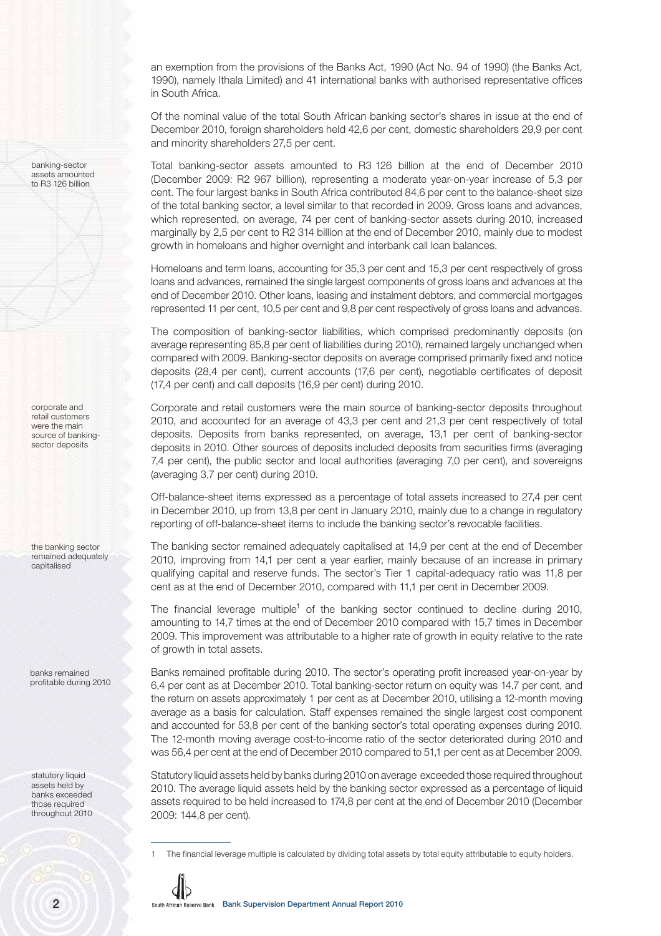an exemption from the provisions of the Banks Act, 1990 (Act No. 94 of 1990) (the Banks Act, 1990), namely Ithala Limited) and 41 international banks with authorised representative offices in South Africa.

Of the nominal value of the total South African banking sector's shares in issue at the end of December 2010, foreign shareholders held 42,6 per cent, domestic shareholders 29,9 per cent and minority shareholders 27,5 per cent.

Total banking-sector assets amounted to R3 126 billion at the end of December 2010 (December 2009: R2 967 billion), representing a moderate year-on-year increase of 5,3 per cent. The four largest banks in South Africa contributed 84,6 per cent to the balance-sheet size of the total banking sector, a level similar to that recorded in 2009. Gross loans and advances, which represented, on average, 74 per cent of banking-sector assets during 2010, increased marginally by 2,5 per cent to R2 314 billion at the end of December 2010, mainly due to modest growth in homeloans and higher overnight and interbank call loan balances.

Homeloans and term loans, accounting for 35,3 per cent and 15,3 per cent respectively of gross loans and advances, remained the single largest components of gross loans and advances at the end of December 2010. Other loans, leasing and instalment debtors, and commercial mortgages represented 11 per cent, 10,5 per cent and 9,8 per cent respectively of gross loans and advances.

The composition of banking-sector liabilities, which comprised predominantly deposits (on average representing 85,8 per cent of liabilities during 2010), remained largely unchanged when compared with 2009. Banking-sector deposits on average comprised primarily fixed and notice deposits (28,4 per cent), current accounts (17,6 per cent), negotiable certificates of deposit (17,4 per cent) and call deposits (16,9 per cent) during 2010.

Corporate and retail customers were the main source of banking-sector deposits throughout 2010, and accounted for an average of 43,3 per cent and 21,3 per cent respectively of total deposits. Deposits from banks represented, on average, 13,1 per cent of banking-sector deposits in 2010. Other sources of deposits included deposits from securities firms (averaging 7,4 per cent), the public sector and local authorities (averaging 7,0 per cent), and sovereigns (averaging 3,7 per cent) during 2010.

Off-balance-sheet items expressed as a percentage of total assets increased to 27,4 per cent in December 2010, up from 13,8 per cent in January 2010, mainly due to a change in regulatory reporting of off-balance-sheet items to include the banking sector's revocable facilities.

The banking sector remained adequately capitalised at 14,9 per cent at the end of December 2010, improving from 14,1 per cent a year earlier, mainly because of an increase in primary qualifying capital and reserve funds. The sector's Tier 1 capital-adequacy ratio was 11,8 per cent as at the end of December 2010, compared with 11,1 per cent in December 2009.

The financial leverage multiple<sup>1</sup> of the banking sector continued to decline during 2010, amounting to 14,7 times at the end of December 2010 compared with 15,7 times in December 2009. This improvement was attributable to a higher rate of growth in equity relative to the rate of growth in total assets.

Banks remained profitable during 2010. The sector's operating profit increased year-on-year by 6,4 per cent as at December 2010. Total banking-sector return on equity was 14,7 per cent, and the return on assets approximately 1 per cent as at December 2010, utilising a 12-month moving average as a basis for calculation. Staff expenses remained the single largest cost component and accounted for 53,8 per cent of the banking sector's total operating expenses during 2010. The 12-month moving average cost-to-income ratio of the sector deteriorated during 2010 and was 56,4 per cent at the end of December 2010 compared to 51,1 per cent as at December 2009.

Statutory liquid assets held by banks during 2010 on average exceeded those required throughout 2010. The average liquid assets held by the banking sector expressed as a percentage of liquid assets required to be held increased to 174,8 per cent at the end of December 2010 (December 2009: 144,8 per cent).

<sup>1</sup> The financial leverage multiple is calculated by dividing total assets by total equity attributable to equity holders.



banking-sector assets amounted to R3 126 billion

corporate and retail customers were the main source of bankingsector deposits

the banking sector remained adequately capitalised

banks remained profitable during 2010

statutory liquid assets held by banks exceeded those required throughout 2010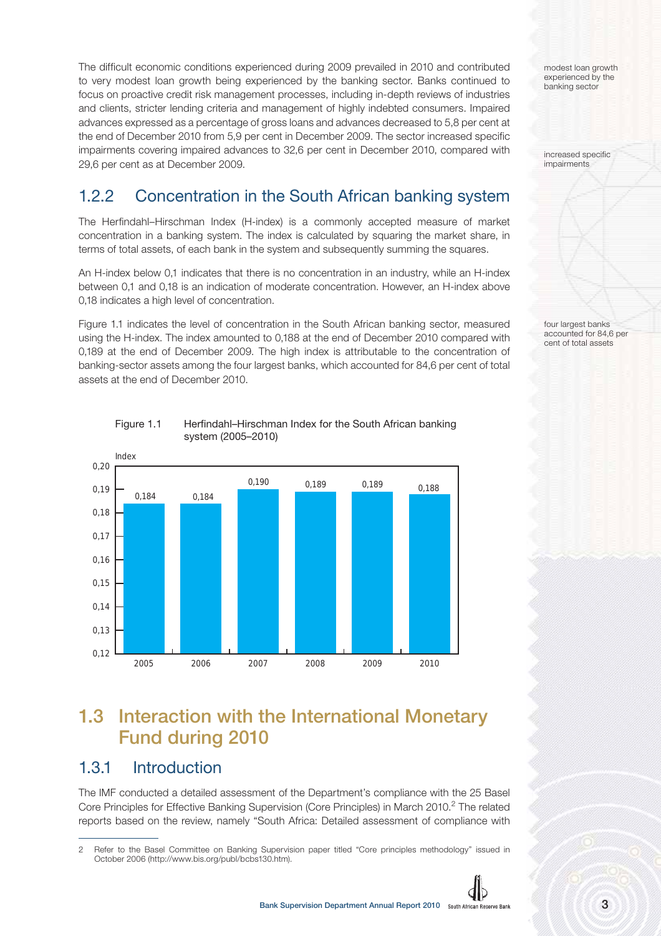The difficult economic conditions experienced during 2009 prevailed in 2010 and contributed to very modest loan growth being experienced by the banking sector. Banks continued to focus on proactive credit risk management processes, including in-depth reviews of industries and clients, stricter lending criteria and management of highly indebted consumers. Impaired advances expressed as a percentage of gross loans and advances decreased to 5,8 per cent at the end of December 2010 from 5,9 per cent in December 2009. The sector increased specific impairments covering impaired advances to 32,6 per cent in December 2010, compared with 29,6 per cent as at December 2009.

# 1.2.2 Concentration in the South African banking system

The Herfindahl–Hirschman Index (H-index) is a commonly accepted measure of market concentration in a banking system. The index is calculated by squaring the market share, in terms of total assets, of each bank in the system and subsequently summing the squares.

An H-index below 0,1 indicates that there is no concentration in an industry, while an H-index between 0,1 and 0,18 is an indication of moderate concentration. However, an H-index above 0,18 indicates a high level of concentration.

Figure 1.1 indicates the level of concentration in the South African banking sector, measured using the H-index. The index amounted to 0,188 at the end of December 2010 compared with 0,189 at the end of December 2009. The high index is attributable to the concentration of banking-sector assets among the four largest banks, which accounted for 84,6 per cent of total assets at the end of December 2010.

Index 0,12 0,13  $0,14$ 0,15 0,16 0,17 0,18 0,19 0,20 2005 2006 2007 2008 2009 2010 0,184 0,184 0,190 0,189 0,189 0,188

Figure 1.1 Herfindahl–Hirschman Index for the South African banking system (2005–2010)

# **1.3 Interaction with the International Monetary Fund during 2010**

### 1.3.1 Introduction

The IMF conducted a detailed assessment of the Department's compliance with the 25 Basel Core Principles for Effective Banking Supervision (Core Principles) in March 2010.<sup>2</sup> The related reports based on the review, namely "South Africa: Detailed assessment of compliance with

<sup>2</sup> Refer to the Basel Committee on Banking Supervision paper titled "Core principles methodology" issued in October 2006 (http://www.bis.org/publ/bcbs130.htm).



modest loan growth experienced by the banking sector

increased specific impairments

four largest banks accounted for 84,6 per cent of total assets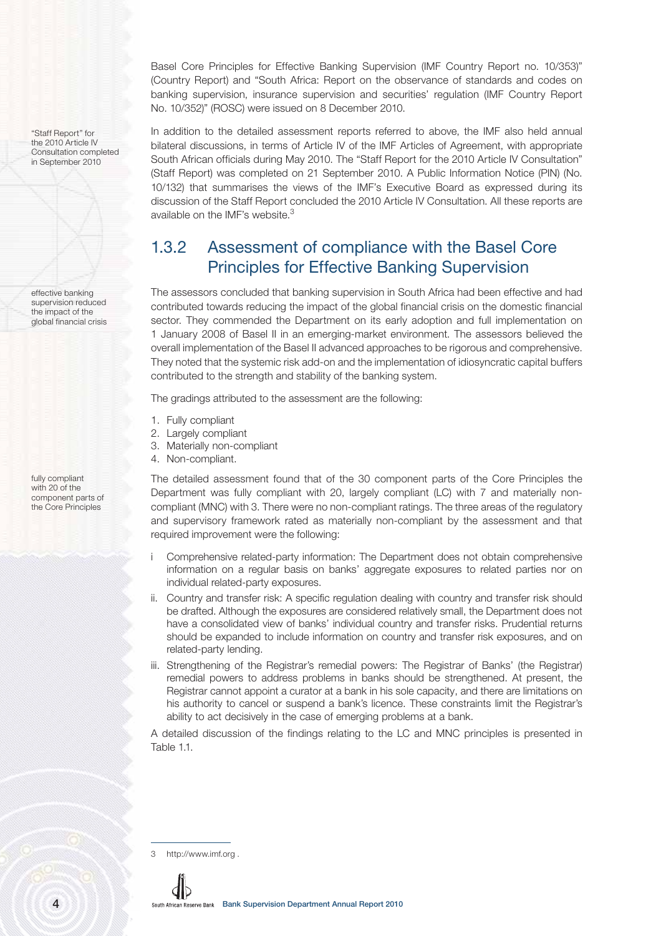"Staff Report" for the 2010 Article IV Consultation completed in September 2010

effective banking supervision reduced the impact of the global financial crisis

fully compliant with 20 of the component parts of the Core Principles

Basel Core Principles for Effective Banking Supervision (IMF Country Report no. 10/353)" (Country Report) and "South Africa: Report on the observance of standards and codes on banking supervision, insurance supervision and securities' regulation (IMF Country Report No. 10/352)" (ROSC) were issued on 8 December 2010.

In addition to the detailed assessment reports referred to above, the IMF also held annual bilateral discussions, in terms of Article IV of the IMF Articles of Agreement, with appropriate South African officials during May 2010. The "Staff Report for the 2010 Article IV Consultation" (Staff Report) was completed on 21 September 2010. A Public Information Notice (PIN) (No. 10/132) that summarises the views of the IMF's Executive Board as expressed during its discussion of the Staff Report concluded the 2010 Article IV Consultation. All these reports are available on the IMF's website.<sup>3</sup>

### 1.3.2 Assessment of compliance with the Basel Core Principles for Effective Banking Supervision

The assessors concluded that banking supervision in South Africa had been effective and had contributed towards reducing the impact of the global financial crisis on the domestic financial sector. They commended the Department on its early adoption and full implementation on 1 January 2008 of Basel II in an emerging-market environment. The assessors believed the overall implementation of the Basel II advanced approaches to be rigorous and comprehensive. They noted that the systemic risk add-on and the implementation of idiosyncratic capital buffers contributed to the strength and stability of the banking system.

The gradings attributed to the assessment are the following:

- 1. Fully compliant
- 2. Largely compliant
- 3. Materially non-compliant
- 4. Non-compliant.

The detailed assessment found that of the 30 component parts of the Core Principles the Department was fully compliant with 20, largely compliant (LC) with 7 and materially noncompliant (MNC) with 3. There were no non-compliant ratings. The three areas of the regulatory and supervisory framework rated as materially non-compliant by the assessment and that required improvement were the following:

- i Comprehensive related-party information: The Department does not obtain comprehensive information on a regular basis on banks' aggregate exposures to related parties nor on individual related-party exposures.
- ii. Country and transfer risk: A specific regulation dealing with country and transfer risk should be drafted. Although the exposures are considered relatively small, the Department does not have a consolidated view of banks' individual country and transfer risks. Prudential returns should be expanded to include information on country and transfer risk exposures, and on related-party lending.
- iii. Strengthening of the Registrar's remedial powers: The Registrar of Banks' (the Registrar) remedial powers to address problems in banks should be strengthened. At present, the Registrar cannot appoint a curator at a bank in his sole capacity, and there are limitations on his authority to cancel or suspend a bank's licence. These constraints limit the Registrar's ability to act decisively in the case of emerging problems at a bank.

A detailed discussion of the findings relating to the LC and MNC principles is presented in Table 1.1.

3 http://www.imf.org .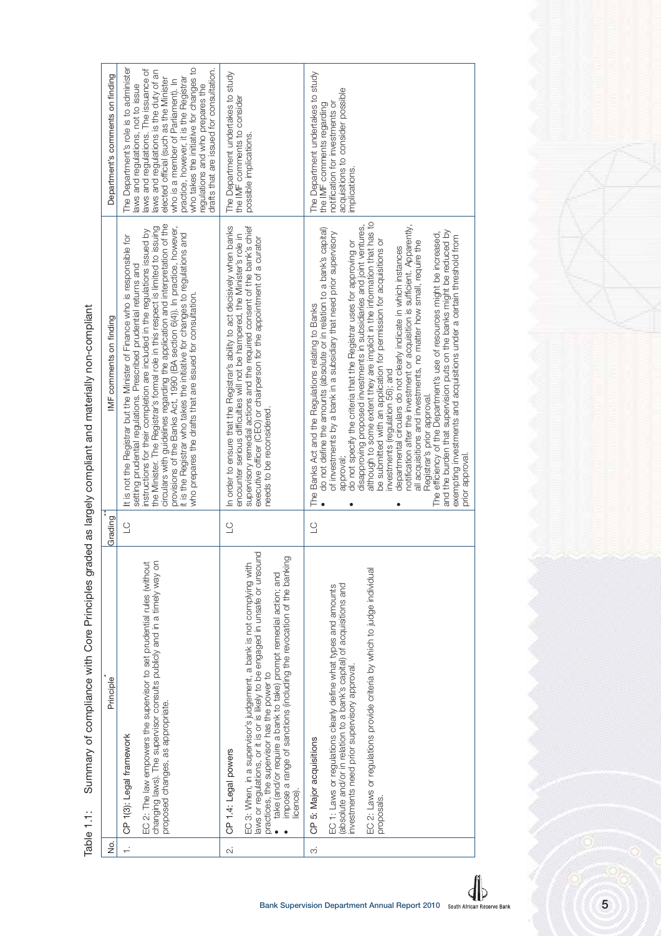Summary of compliance with Core Principles graded as largely compliant and materially non-compliant Table 1.1: Summary of compliance with Core Principles graded as largely compliant and materially non-compliant Table 1.1:

5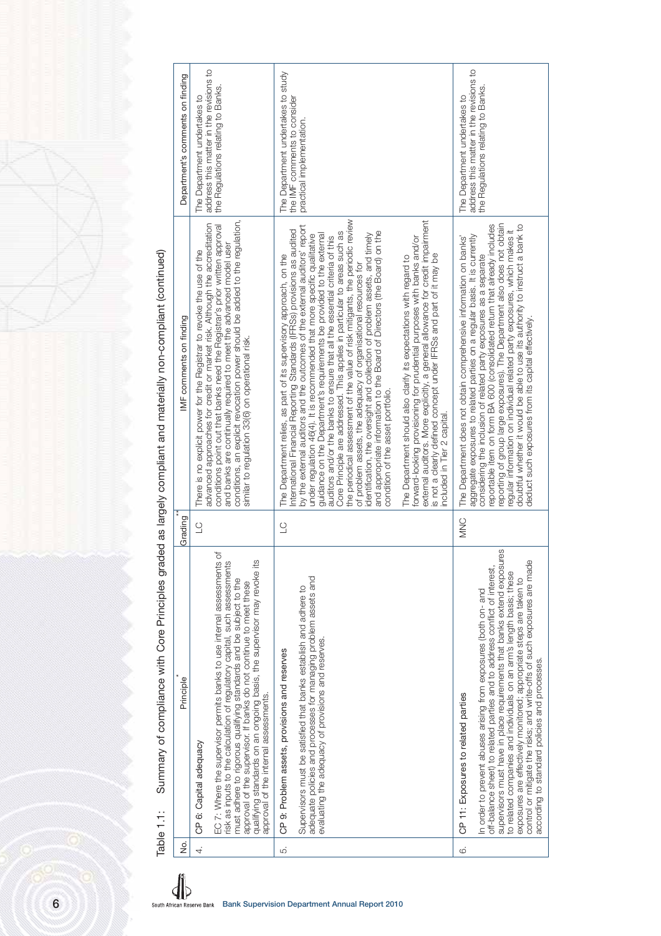| Department's comments on finding                                                             | address this matter in the revisions to<br>the Regulations relating to Banks.<br>The Department undertakes to                                                                                                                                                                                                                                                                                                                                                        | The Department undertakes to study<br>the IMF comments to consider<br>practical implementation.                                                                                                                                                                                                                                                                                                                                                                                                                                                                                                                                                                                                                                                                                                                                                                                                                                                                                                                                                                                                                                                                                                                                        | address this matter in the revisions to<br>the Regulations relating to Banks.<br>The Department undertakes to                                                                                                                                                                                                                                                                                                                                                                                                                                                                                      |
|----------------------------------------------------------------------------------------------|----------------------------------------------------------------------------------------------------------------------------------------------------------------------------------------------------------------------------------------------------------------------------------------------------------------------------------------------------------------------------------------------------------------------------------------------------------------------|----------------------------------------------------------------------------------------------------------------------------------------------------------------------------------------------------------------------------------------------------------------------------------------------------------------------------------------------------------------------------------------------------------------------------------------------------------------------------------------------------------------------------------------------------------------------------------------------------------------------------------------------------------------------------------------------------------------------------------------------------------------------------------------------------------------------------------------------------------------------------------------------------------------------------------------------------------------------------------------------------------------------------------------------------------------------------------------------------------------------------------------------------------------------------------------------------------------------------------------|----------------------------------------------------------------------------------------------------------------------------------------------------------------------------------------------------------------------------------------------------------------------------------------------------------------------------------------------------------------------------------------------------------------------------------------------------------------------------------------------------------------------------------------------------------------------------------------------------|
| ded as largely compliant and materially non-compliant (continued)<br>IMF comments on finding | conditions, an explicit revocation power should be added to the regulation,<br>advanced approaches for credit or market risk. Although the accreditation<br>conditions point out that banks need the Registrar's prior written approval<br>and banks are continually required to meet the advanced model user<br>There is no explicit power for the Registrar to revoke the use of the<br>similar to regulation 33(6) on operational risk.                           | the periodical assessment of the value of risk mitigants, the periodic review<br>external auditors. More explicitly, a general allowance for credit impairment<br>by the external auditors and the outcomes of the external auditors' report<br>nternational Financial Reporting Standards (IFRSs) provisions as audited<br>identification, the oversight and collection of problem assets, and timely<br>and appropriate information to the Board of Directors (the Board) on the<br>Core Principle are addressed. This applies in particular to areas such as<br>guidance on the Department's requirements be provided to the external<br>under regulation 46(4). It is recommended that more specific qualitative<br>The Department should also clarify its expectations with regard to<br>forward-looking provisioning for prudential purposes with banks and/or<br>auditors and/or the banks to ensure that all the essential oriteria of this<br>The Department relies, as part of its supervisory approach, on the<br>is not a clearly defined concept under IFRSs and part of it may be<br>of problem assets, the adequacy of organisational resources for<br>condition of the asset portfolio.<br>included in Tier 2 capital. | reporting of group large exposures). The Department also does not obtain<br>doubtful whether it would be able to use its authority to instruct a bank to<br>reportable item on form BA 600 (consolidated return that already includes<br>regular information on individual related party exposures, which makes it<br>aggregate exposures to related parties on a regular basis. It is currently<br>The Department does not obtain comprehensive information on banks'<br>considering the inclusion of related party exposures as a separate<br>deduct such exposures from its capital effectively |
| Grading                                                                                      | $\cup$                                                                                                                                                                                                                                                                                                                                                                                                                                                               | $\supseteq$                                                                                                                                                                                                                                                                                                                                                                                                                                                                                                                                                                                                                                                                                                                                                                                                                                                                                                                                                                                                                                                                                                                                                                                                                            | <b>MNC</b>                                                                                                                                                                                                                                                                                                                                                                                                                                                                                                                                                                                         |
| Summary of compliance with Core Principles gra-<br>Principle                                 | $\overline{\sigma}$<br>risk as inputs to the calculation of regulatory capital, such assessments<br>qualifying standards on an ongoing basis, the supervisor may revoke its<br>EC 7: Where the supervisor permits banks to use internal assessments<br>must adhere to rigorous qualifying standards and be subject to the<br>approval of the supervisor. If banks do not continue to meet these<br>approval of the internal assessments.<br>6: Capital adequacy<br>9 | adequate policies and processes for managing problem assets and<br>Supervisors must be satisfied that banks establish and adhere to<br>evaluating the adequacy of provisions and reserves.<br>9: Problem assets, provisions and reserves<br>ჭ                                                                                                                                                                                                                                                                                                                                                                                                                                                                                                                                                                                                                                                                                                                                                                                                                                                                                                                                                                                          | 89.<br>control or mitigate the risks; and write-offs of such exposures are made<br>supervisors must have in place requirements that banks extend exposul<br>off-balance sheet) to related parties and to address conflict of interest,<br>to related companies and individuals on an arm's length basis; these<br>exposures are effectively monitored; appropriate steps are taken to<br>In order to prevent abuses arising from exposures (both on- and<br>according to standard policies and processes.<br>CP 11: Exposures to related parties                                                   |
| Table 1.1:<br>غ<br>ع                                                                         | $\overline{4}$                                                                                                                                                                                                                                                                                                                                                                                                                                                       |                                                                                                                                                                                                                                                                                                                                                                                                                                                                                                                                                                                                                                                                                                                                                                                                                                                                                                                                                                                                                                                                                                                                                                                                                                        | $\dot{\odot}$                                                                                                                                                                                                                                                                                                                                                                                                                                                                                                                                                                                      |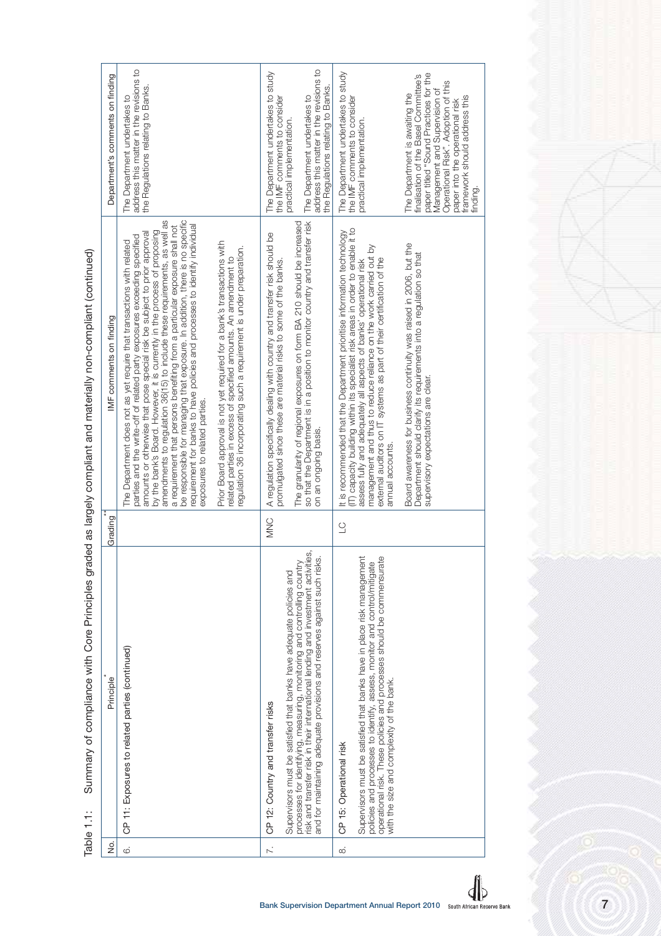| The Department undertakes to study<br>The Department undertakes to study<br>paper titled "Sound Practices for the<br>Department's comments on finding<br>finalisation of the Basel Committee's<br>Operational Risk". Adoption of this<br>the Regulations relating to Banks.<br>the Regulations relating to Banks<br>Management and Supervision of<br>The Department is awaiting the<br>framework should address this<br>The Department undertakes to<br>The Department undertakes to<br>the IMF comments to consider<br>the IMF comments to consider<br>paper into the operational risk<br>practical implementation.<br>practical implementation.<br>finding.<br>be responsible for managing that exposure. In addition, there is no specific<br>by the bank's Board. However, it is currently in the process of proposing<br>amendments to regulation 36(15) to include these requirements, as well as<br>so that the Department is in a position to monitor country and transfer risk<br>The granularity of regional exposures on form BA 210 should be increased<br>requirement for banks to have policies and processes to identify individual<br>a requirement that persons benefiting from a particular exposure shall not<br>IT) capacity building within its specialist risk areas in order to enable it to<br>t is recommended that the Department prioritise information technology<br>amounts or otherwise that pose special risk be subject to prior approval<br>A regulation specifically dealing with country and transfer risk should be<br>parties and the write-off of related party exposures exceeding specified<br>The Department does not as yet require that transactions with related<br>Prior Board approval is not yet required for a bank's transactions with<br>Board awareness for business continuity was raised in 2006, but the<br>management and thus to reduce reliance on the work carried out by<br>regulation 36 incorporating such a requirement is under preparation.<br>Department should clarify its requirements into a regulation so that<br>related parties in excess of specified amounts. An amendment to<br>external auditors on IT systems as part of their certification of the<br>promulgated since these are material risks to some of the banks.<br>assess fully and adequately all aspects of banks' operational risk<br>IMF comments on finding<br>supervisory expectations are clear.<br>exposures to related parties.<br>on an ongoing basis.<br>annual accounts.<br>Grading<br><b>MNC</b><br>$\cup$<br>risk and transfer risk in their international lending and investment activities,<br>and for maintaining adequate provisions and reserves against such risks.<br>Supervisors must be satisfied that banks have in place risk management<br>operational risk. These policies and processes should be commensurate<br>processes for identifying, measuring, monitoring and controlling country<br>policies and processes to identify, assess, monitor and control/mitigate<br>Supervisors must be satisfied that banks have adequate policies and<br>CP 11: Exposures to related parties (continued)<br>Principle<br>with the size and complexity of the bank.<br>CP 12: Country and transfer risks<br>CP 15: Operational risk<br>ġ<br>$\overline{\sim}$<br>$\ddot{\circ}$<br>$\infty$ | Summary of compliance with Core Principles grad<br>Fable 1.1: | led as largely compliant and materially non-compliant (continued) |                                         |
|----------------------------------------------------------------------------------------------------------------------------------------------------------------------------------------------------------------------------------------------------------------------------------------------------------------------------------------------------------------------------------------------------------------------------------------------------------------------------------------------------------------------------------------------------------------------------------------------------------------------------------------------------------------------------------------------------------------------------------------------------------------------------------------------------------------------------------------------------------------------------------------------------------------------------------------------------------------------------------------------------------------------------------------------------------------------------------------------------------------------------------------------------------------------------------------------------------------------------------------------------------------------------------------------------------------------------------------------------------------------------------------------------------------------------------------------------------------------------------------------------------------------------------------------------------------------------------------------------------------------------------------------------------------------------------------------------------------------------------------------------------------------------------------------------------------------------------------------------------------------------------------------------------------------------------------------------------------------------------------------------------------------------------------------------------------------------------------------------------------------------------------------------------------------------------------------------------------------------------------------------------------------------------------------------------------------------------------------------------------------------------------------------------------------------------------------------------------------------------------------------------------------------------------------------------------------------------------------------------------------------------------------------------------------------------------------------------------------------------------------------------------------------------------------------------------------------------------------------------------------------------------------------------------------------------------------------------------------------------------------------------------------------------------------------------------------------------------------------------------------------------------------------------------------------------------------------------------------------------------------------------------------------------------------------------------------------------------------------|---------------------------------------------------------------|-------------------------------------------------------------------|-----------------------------------------|
|                                                                                                                                                                                                                                                                                                                                                                                                                                                                                                                                                                                                                                                                                                                                                                                                                                                                                                                                                                                                                                                                                                                                                                                                                                                                                                                                                                                                                                                                                                                                                                                                                                                                                                                                                                                                                                                                                                                                                                                                                                                                                                                                                                                                                                                                                                                                                                                                                                                                                                                                                                                                                                                                                                                                                                                                                                                                                                                                                                                                                                                                                                                                                                                                                                                                                                                                                    |                                                               |                                                                   |                                         |
|                                                                                                                                                                                                                                                                                                                                                                                                                                                                                                                                                                                                                                                                                                                                                                                                                                                                                                                                                                                                                                                                                                                                                                                                                                                                                                                                                                                                                                                                                                                                                                                                                                                                                                                                                                                                                                                                                                                                                                                                                                                                                                                                                                                                                                                                                                                                                                                                                                                                                                                                                                                                                                                                                                                                                                                                                                                                                                                                                                                                                                                                                                                                                                                                                                                                                                                                                    |                                                               |                                                                   | address this matter in the revisions to |
|                                                                                                                                                                                                                                                                                                                                                                                                                                                                                                                                                                                                                                                                                                                                                                                                                                                                                                                                                                                                                                                                                                                                                                                                                                                                                                                                                                                                                                                                                                                                                                                                                                                                                                                                                                                                                                                                                                                                                                                                                                                                                                                                                                                                                                                                                                                                                                                                                                                                                                                                                                                                                                                                                                                                                                                                                                                                                                                                                                                                                                                                                                                                                                                                                                                                                                                                                    |                                                               |                                                                   | address this matter in the revisions to |
|                                                                                                                                                                                                                                                                                                                                                                                                                                                                                                                                                                                                                                                                                                                                                                                                                                                                                                                                                                                                                                                                                                                                                                                                                                                                                                                                                                                                                                                                                                                                                                                                                                                                                                                                                                                                                                                                                                                                                                                                                                                                                                                                                                                                                                                                                                                                                                                                                                                                                                                                                                                                                                                                                                                                                                                                                                                                                                                                                                                                                                                                                                                                                                                                                                                                                                                                                    |                                                               |                                                                   |                                         |
|                                                                                                                                                                                                                                                                                                                                                                                                                                                                                                                                                                                                                                                                                                                                                                                                                                                                                                                                                                                                                                                                                                                                                                                                                                                                                                                                                                                                                                                                                                                                                                                                                                                                                                                                                                                                                                                                                                                                                                                                                                                                                                                                                                                                                                                                                                                                                                                                                                                                                                                                                                                                                                                                                                                                                                                                                                                                                                                                                                                                                                                                                                                                                                                                                                                                                                                                                    |                                                               |                                                                   |                                         |

Summary of compliance with Core Principles graded as largely compliant and materially non-compliant (continued) Table 1.1: Summary of compliance with Core Principles graded as largely compliant and materially non-compliant Table 1.1:

7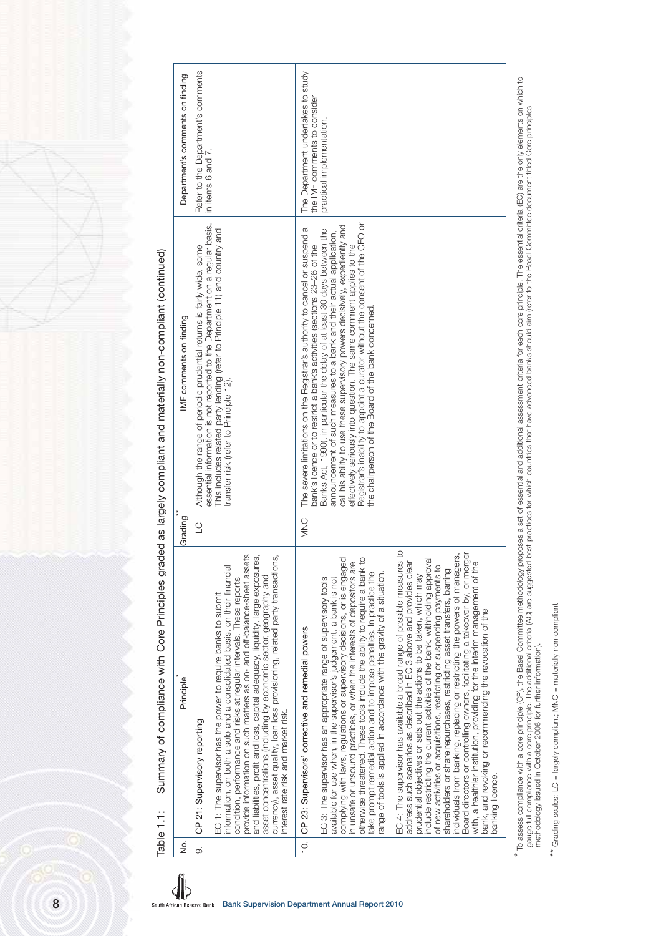| Table 1.1:<br>è.   | Principle                                                                                                                                                                                                                                                                                                                                                                                                                                                                                                                                                                                                                                                                                                                                                                                                  | Grading    | Summary of compliance with Core Principles graded as largely compliant and materially non-compliant (continued)<br>IMF comments on finding                                                                                                                                                                                                                                                                                                                                                                                                                                                                  | Department's comments on finding                                                                |
|--------------------|------------------------------------------------------------------------------------------------------------------------------------------------------------------------------------------------------------------------------------------------------------------------------------------------------------------------------------------------------------------------------------------------------------------------------------------------------------------------------------------------------------------------------------------------------------------------------------------------------------------------------------------------------------------------------------------------------------------------------------------------------------------------------------------------------------|------------|-------------------------------------------------------------------------------------------------------------------------------------------------------------------------------------------------------------------------------------------------------------------------------------------------------------------------------------------------------------------------------------------------------------------------------------------------------------------------------------------------------------------------------------------------------------------------------------------------------------|-------------------------------------------------------------------------------------------------|
| $\overline{\circ}$ | provide information on such matters as on- and off-balance-sheet assets<br>and liabilities, profit and loss, capital adequacy, liquidity, large exposures,<br>currency), asset quality, loan loss provisioning, related party transactions<br>information, on both a solo and a consolidated basis, on their financial<br>asset concentrations (including by economic sector, geography and<br>condition, performance and risks at regular intervals. These reports<br>EC 1: The supervisor has the power to require banks to submit<br>interest rate risk and market risk.<br>21: Supervisory reporting<br>8                                                                                                                                                                                              | $\cup$     | essential information is not reported to the Department on a regular basis.<br>This includes related party lending (refer to Principle 11) and country and<br>Although the range of periodic prudential returns is fairly wide, some<br>transfer risk (refer to Principle 12).                                                                                                                                                                                                                                                                                                                              | Refer to the Department's comments<br>in items 6 and 7.                                         |
| $\frac{1}{2}$      | complying with laws, regulations or supervisory decisions, or is engaged<br>otherwise threatened. These tools include the ability to require a bank to<br>in unsafe or unsound practices, or when the interests of depositors are<br>take prompt remedial action and to impose penalties. In practice the<br>ange of tools is applied in accordance with the gravity of a situation.<br>EC 3: The supervisor has an appropriate range of supervisory tools<br>available for use when, in the supervisor's judgement, a bank is not<br>23: Supervisors' corrective and remedial powers<br>ჭ<br>შ                                                                                                                                                                                                            | <b>MNC</b> | Registrar's inability to appoint a curator without the consent of the CEO or<br>call his ability to use these supervisory powers decisively, expediently and<br>The severe limitations on the Registrar's authority to cancel or suspend a<br>Banks Act, 1990), in particular the delay of at least 30 days between the<br>announcement of such measures to a bank and their actual application,<br>bank's licence or to restrict a bank's activities (sections 23-26 of the<br>effectively seriously into question. The same comment applies to the<br>the chairperson of the Board of the bank concerned. | The Department undertakes to study<br>the IMF comments to consider<br>practical implementation. |
|                    | $\overline{c}$<br>individuals from banking, replacing or restricting the powers of managers,<br>Board directors or controlling owners, facilitating a takeover by, or merger<br>include restricting the current activities of the bank, withholding approval<br>EC 4: The supervisor has available a broad range of possible measures<br>address such scenarios as described in EC 3 above and provides clear<br>with, a healthier institution, providing for the interim management of the<br>of new activities or acquisitions, restricting or suspending payments to<br>shareholders or share repurchases, restricting asset transfers, barring<br>prudential objectives or sets out the actions to be taken, which may<br>bank, and revoking or recommending the revocation of the<br>banking licence. |            |                                                                                                                                                                                                                                                                                                                                                                                                                                                                                                                                                                                                             |                                                                                                 |

\* To assess compliance with a core principle (CP), the Basel Committee methodology proposes a set of essential and additional assessment oriteria for each core principle. The essential criteria (EC) are the only elements o \* To assess compliance with a core principle (CP), the Basel Committee methodology proposes a set of essential and additional assessment criteria for each core principle. The essential criteria (EC) are the only elements o gauge full compliance with a core principle. The additional criteria (AC) are suggested best practices for which countries that have advanced banks should aim (refer to the Basel Committee document titled Core principles methodology issued in October 2006 for further information).

\*\* Grading scales: LC = largely compliant; MNC = materially non-compliant \*\* Grading scales: LC = largely compliant; MNC = materially non-compliant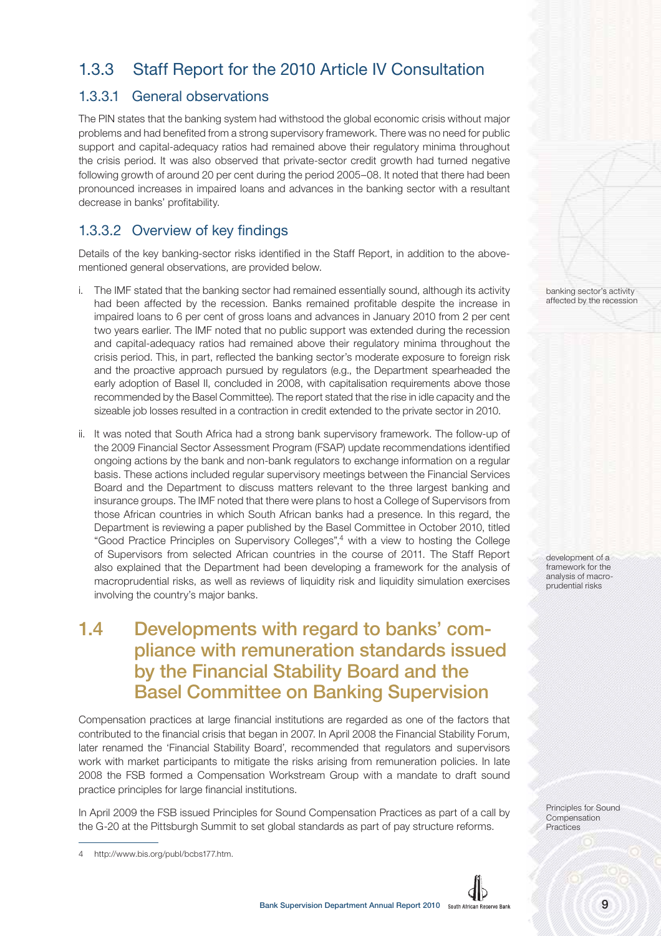## 1.3.3 Staff Report for the 2010 Article IV Consultation

#### 1.3.3.1 General observations

The PIN states that the banking system had withstood the global economic crisis without major problems and had benefited from a strong supervisory framework. There was no need for public support and capital-adequacy ratios had remained above their regulatory minima throughout the crisis period. It was also observed that private-sector credit growth had turned negative following growth of around 20 per cent during the period 2005–08. It noted that there had been pronounced increases in impaired loans and advances in the banking sector with a resultant decrease in banks' profitability.

#### 1.3.3.2 Overview of key findings

Details of the key banking-sector risks identified in the Staff Report, in addition to the abovementioned general observations, are provided below.

- i. The IMF stated that the banking sector had remained essentially sound, although its activity had been affected by the recession. Banks remained profitable despite the increase in impaired loans to 6 per cent of gross loans and advances in January 2010 from 2 per cent two years earlier. The IMF noted that no public support was extended during the recession and capital-adequacy ratios had remained above their regulatory minima throughout the crisis period. This, in part, reflected the banking sector's moderate exposure to foreign risk and the proactive approach pursued by regulators (e.g., the Department spearheaded the early adoption of Basel II, concluded in 2008, with capitalisation requirements above those recommended by the Basel Committee). The report stated that the rise in idle capacity and the sizeable job losses resulted in a contraction in credit extended to the private sector in 2010.
- ii. It was noted that South Africa had a strong bank supervisory framework. The follow-up of the 2009 Financial Sector Assessment Program (FSAP) update recommendations identified ongoing actions by the bank and non-bank regulators to exchange information on a regular basis. These actions included regular supervisory meetings between the Financial Services Board and the Department to discuss matters relevant to the three largest banking and insurance groups. The IMF noted that there were plans to host a College of Supervisors from those African countries in which South African banks had a presence. In this regard, the Department is reviewing a paper published by the Basel Committee in October 2010, titled "Good Practice Principles on Supervisory Colleges",<sup>4</sup> with a view to hosting the College of Supervisors from selected African countries in the course of 2011. The Staff Report also explained that the Department had been developing a framework for the analysis of macroprudential risks, as well as reviews of liquidity risk and liquidity simulation exercises involving the country's major banks.

# **1.4 Developments with regard to banks' compliance with remuneration standards issued by the Financial Stability Board and the Basel Committee on Banking Supervision**

Compensation practices at large financial institutions are regarded as one of the factors that contributed to the financial crisis that began in 2007. In April 2008 the Financial Stability Forum, later renamed the 'Financial Stability Board', recommended that regulators and supervisors work with market participants to mitigate the risks arising from remuneration policies. In late 2008 the FSB formed a Compensation Workstream Group with a mandate to draft sound practice principles for large financial institutions.

In April 2009 the FSB issued Principles for Sound Compensation Practices as part of a call by the G-20 at the Pittsburgh Summit to set global standards as part of pay structure reforms.

banking sector's activity affected by the recession

development of a framework for the analysis of macroprudential risks

Principles for Sound Compensation Practices



<sup>4</sup> http://www.bis.org/publ/bcbs177.htm.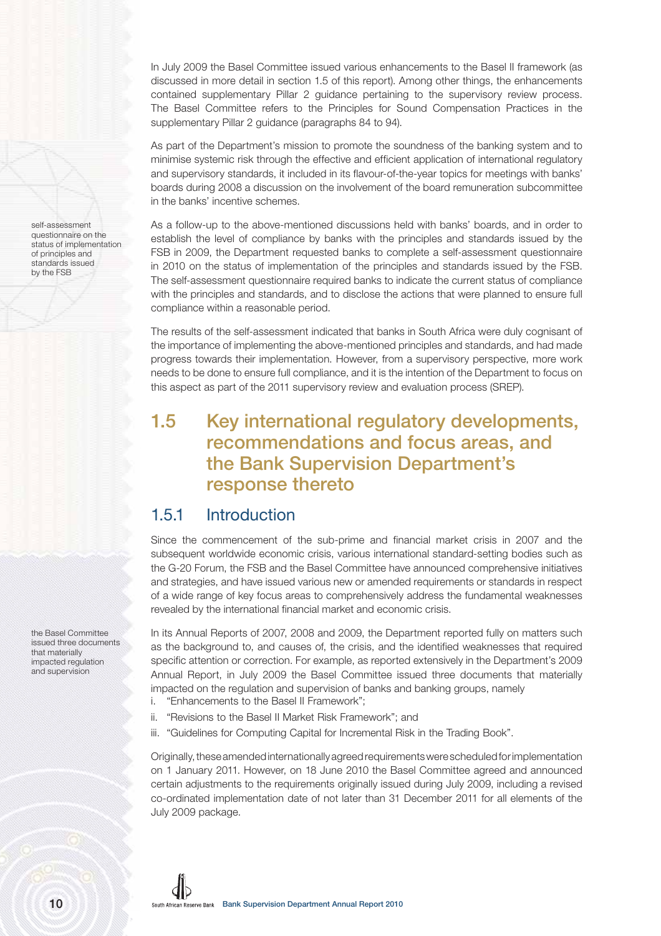In July 2009 the Basel Committee issued various enhancements to the Basel II framework (as discussed in more detail in section 1.5 of this report). Among other things, the enhancements contained supplementary Pillar 2 guidance pertaining to the supervisory review process. The Basel Committee refers to the Principles for Sound Compensation Practices in the supplementary Pillar 2 guidance (paragraphs 84 to 94).

As part of the Department's mission to promote the soundness of the banking system and to minimise systemic risk through the effective and efficient application of international regulatory and supervisory standards, it included in its flavour-of-the-year topics for meetings with banks' boards during 2008 a discussion on the involvement of the board remuneration subcommittee in the banks' incentive schemes.

As a follow-up to the above-mentioned discussions held with banks' boards, and in order to establish the level of compliance by banks with the principles and standards issued by the FSB in 2009, the Department requested banks to complete a self-assessment questionnaire in 2010 on the status of implementation of the principles and standards issued by the FSB. The self-assessment questionnaire required banks to indicate the current status of compliance with the principles and standards, and to disclose the actions that were planned to ensure full compliance within a reasonable period.

The results of the self-assessment indicated that banks in South Africa were duly cognisant of the importance of implementing the above-mentioned principles and standards, and had made progress towards their implementation. However, from a supervisory perspective, more work needs to be done to ensure full compliance, and it is the intention of the Department to focus on this aspect as part of the 2011 supervisory review and evaluation process (SREP).

# **1.5 Key international regulatory developments, recommendations and focus areas, and the Bank Supervision Department's response thereto**

#### 1.5.1 Introduction

Since the commencement of the sub-prime and financial market crisis in 2007 and the subsequent worldwide economic crisis, various international standard-setting bodies such as the G-20 Forum, the FSB and the Basel Committee have announced comprehensive initiatives and strategies, and have issued various new or amended requirements or standards in respect of a wide range of key focus areas to comprehensively address the fundamental weaknesses revealed by the international financial market and economic crisis.

In its Annual Reports of 2007, 2008 and 2009, the Department reported fully on matters such as the background to, and causes of, the crisis, and the identified weaknesses that required specific attention or correction. For example, as reported extensively in the Department's 2009 Annual Report, in July 2009 the Basel Committee issued three documents that materially impacted on the regulation and supervision of banks and banking groups, namely i. "Enhancements to the Basel II Framework";

- ii. "Revisions to the Basel II Market Risk Framework"; and
- iii. "Guidelines for Computing Capital for Incremental Risk in the Trading Book".

Originally, these amended internationally agreed requirements were scheduled for implementation on 1 January 2011. However, on 18 June 2010 the Basel Committee agreed and announced certain adjustments to the requirements originally issued during July 2009, including a revised co-ordinated implementation date of not later than 31 December 2011 for all elements of the July 2009 package.

self-assessment questionnaire on the status of implementation of principles and standards issued by the FSB

the Basel Committee issued three documents that materially impacted regulation and supervision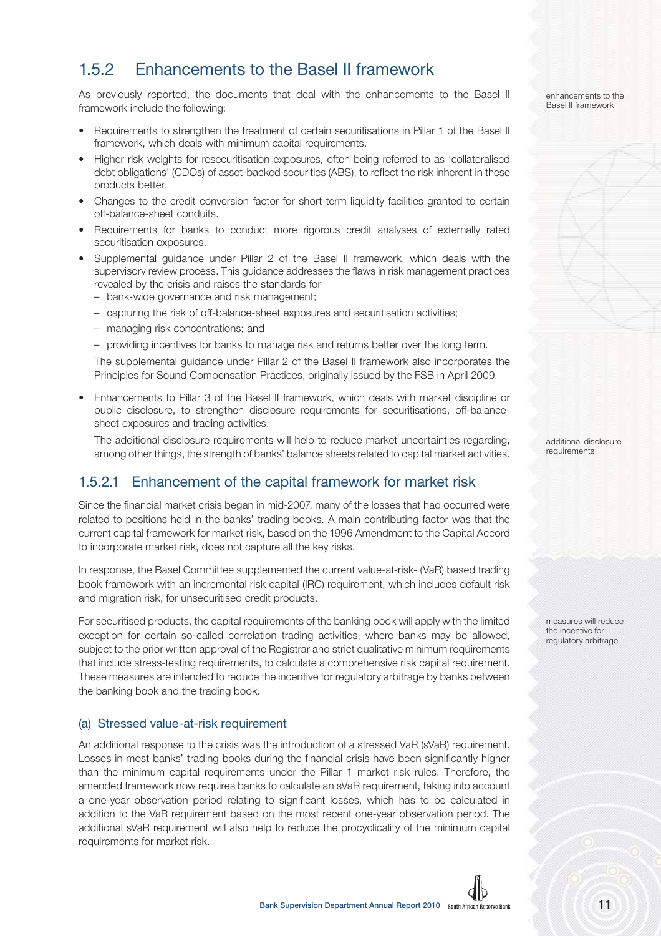### 1.5.2 Enhancements to the Basel II framework

As previously reported, the documents that deal with the enhancements to the Basel II framework include the following:

- Requirements to strengthen the treatment of certain securitisations in Pillar 1 of the Basel II framework, which deals with minimum capital requirements.
- Higher risk weights for resecuritisation exposures, often being referred to as 'collateralised debt obligations' (CDOs) of asset-backed securities (ABS), to reflect the risk inherent in these products better.
- Changes to the credit conversion factor for short-term liquidity facilities granted to certain off-balance-sheet conduits.
- Requirements for banks to conduct more rigorous credit analyses of externally rated securitisation exposures.
- Supplemental guidance under Pillar 2 of the Basel II framework, which deals with the supervisory review process. This guidance addresses the flaws in risk management practices revealed by the crisis and raises the standards for
	- bank-wide governance and risk management;
	- capturing the risk of off-balance-sheet exposures and securitisation activities;
	- managing risk concentrations; and
	- providing incentives for banks to manage risk and returns better over the long term.

The supplemental guidance under Pillar 2 of the Basel II framework also incorporates the Principles for Sound Compensation Practices, originally issued by the FSB in April 2009.

• Enhancements to Pillar 3 of the Basel II framework, which deals with market discipline or public disclosure, to strengthen disclosure requirements for securitisations, off-balancesheet exposures and trading activities.

The additional disclosure requirements will help to reduce market uncertainties regarding, among other things, the strength of banks' balance sheets related to capital market activities.

#### 1.5.2.1 Enhancement of the capital framework for market risk

Since the financial market crisis began in mid-2007, many of the losses that had occurred were related to positions held in the banks' trading books. A main contributing factor was that the current capital framework for market risk, based on the 1996 Amendment to the Capital Accord to incorporate market risk, does not capture all the key risks.

In response, the Basel Committee supplemented the current value-at-risk- (VaR) based trading book framework with an incremental risk capital (IRC) requirement, which includes default risk and migration risk, for unsecuritised credit products.

For securitised products, the capital requirements of the banking book will apply with the limited exception for certain so-called correlation trading activities, where banks may be allowed, subject to the prior written approval of the Registrar and strict qualitative minimum requirements that include stress-testing requirements, to calculate a comprehensive risk capital requirement. These measures are intended to reduce the incentive for regulatory arbitrage by banks between the banking book and the trading book.

#### (a) Stressed value-at-risk requirement

An additional response to the crisis was the introduction of a stressed VaR (sVaR) requirement. Losses in most banks' trading books during the financial crisis have been significantly higher than the minimum capital requirements under the Pillar 1 market risk rules. Therefore, the amended framework now requires banks to calculate an sVaR requirement, taking into account a one-year observation period relating to significant losses, which has to be calculated in addition to the VaR requirement based on the most recent one-year observation period. The additional sVaR requirement will also help to reduce the procyclicality of the minimum capital requirements for market risk.



enhancements to the Basel II framework

additional disclosure requirements

measures will reduce the incentive for regulatory arbitrage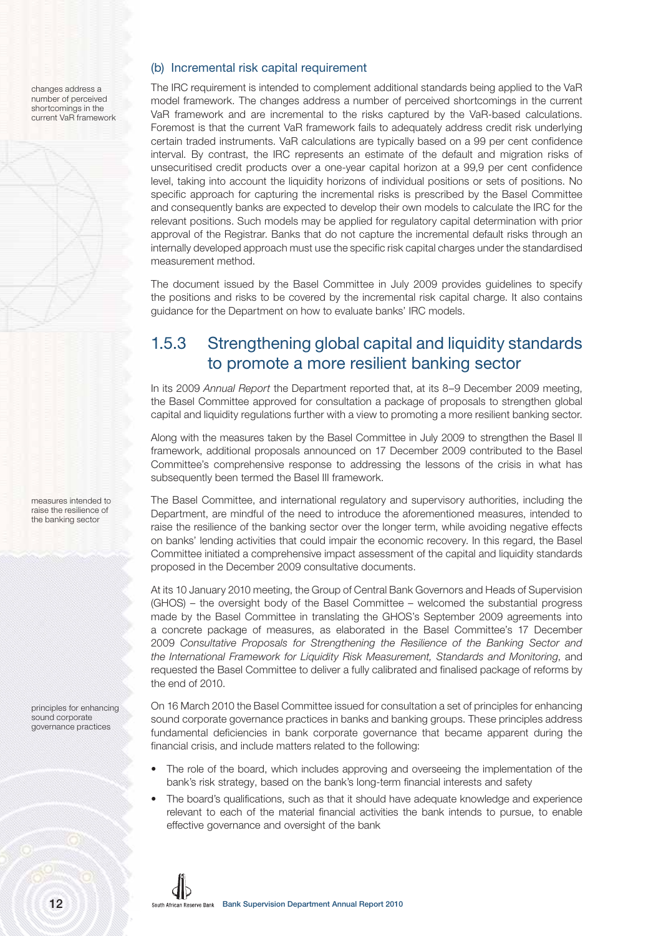changes address a number of perceived shortcomings in the current VaR framework

#### (b) Incremental risk capital requirement

The IRC requirement is intended to complement additional standards being applied to the VaR model framework. The changes address a number of perceived shortcomings in the current VaR framework and are incremental to the risks captured by the VaR-based calculations. Foremost is that the current VaR framework fails to adequately address credit risk underlying certain traded instruments. VaR calculations are typically based on a 99 per cent confidence interval. By contrast, the IRC represents an estimate of the default and migration risks of unsecuritised credit products over a one-year capital horizon at a 99,9 per cent confidence level, taking into account the liquidity horizons of individual positions or sets of positions. No specific approach for capturing the incremental risks is prescribed by the Basel Committee and consequently banks are expected to develop their own models to calculate the IRC for the relevant positions. Such models may be applied for regulatory capital determination with prior approval of the Registrar. Banks that do not capture the incremental default risks through an internally developed approach must use the specific risk capital charges under the standardised measurement method.

The document issued by the Basel Committee in July 2009 provides guidelines to specify the positions and risks to be covered by the incremental risk capital charge. It also contains guidance for the Department on how to evaluate banks' IRC models.

### 1.5.3 Strengthening global capital and liquidity standards to promote a more resilient banking sector

In its 2009 Annual Report the Department reported that, at its 8–9 December 2009 meeting, the Basel Committee approved for consultation a package of proposals to strengthen global capital and liquidity regulations further with a view to promoting a more resilient banking sector.

Along with the measures taken by the Basel Committee in July 2009 to strengthen the Basel II framework, additional proposals announced on 17 December 2009 contributed to the Basel Committee's comprehensive response to addressing the lessons of the crisis in what has subsequently been termed the Basel III framework.

The Basel Committee, and international regulatory and supervisory authorities, including the Department, are mindful of the need to introduce the aforementioned measures, intended to raise the resilience of the banking sector over the longer term, while avoiding negative effects on banks' lending activities that could impair the economic recovery. In this regard, the Basel Committee initiated a comprehensive impact assessment of the capital and liquidity standards proposed in the December 2009 consultative documents.

At its 10 January 2010 meeting, the Group of Central Bank Governors and Heads of Supervision (GHOS) – the oversight body of the Basel Committee – welcomed the substantial progress made by the Basel Committee in translating the GHOS's September 2009 agreements into a concrete package of measures, as elaborated in the Basel Committee's 17 December 2009 Consultative Proposals for Strengthening the Resilience of the Banking Sector and the International Framework for Liquidity Risk Measurement, Standards and Monitoring, and requested the Basel Committee to deliver a fully calibrated and finalised package of reforms by the end of 2010.

On 16 March 2010 the Basel Committee issued for consultation a set of principles for enhancing sound corporate governance practices in banks and banking groups. These principles address fundamental deficiencies in bank corporate governance that became apparent during the financial crisis, and include matters related to the following:

- The role of the board, which includes approving and overseeing the implementation of the bank's risk strategy, based on the bank's long-term financial interests and safety
- The board's qualifications, such as that it should have adequate knowledge and experience relevant to each of the material financial activities the bank intends to pursue, to enable effective governance and oversight of the bank

raise the resilience of the banking sector

measures intended to

principles for enhancing sound corporate governance practices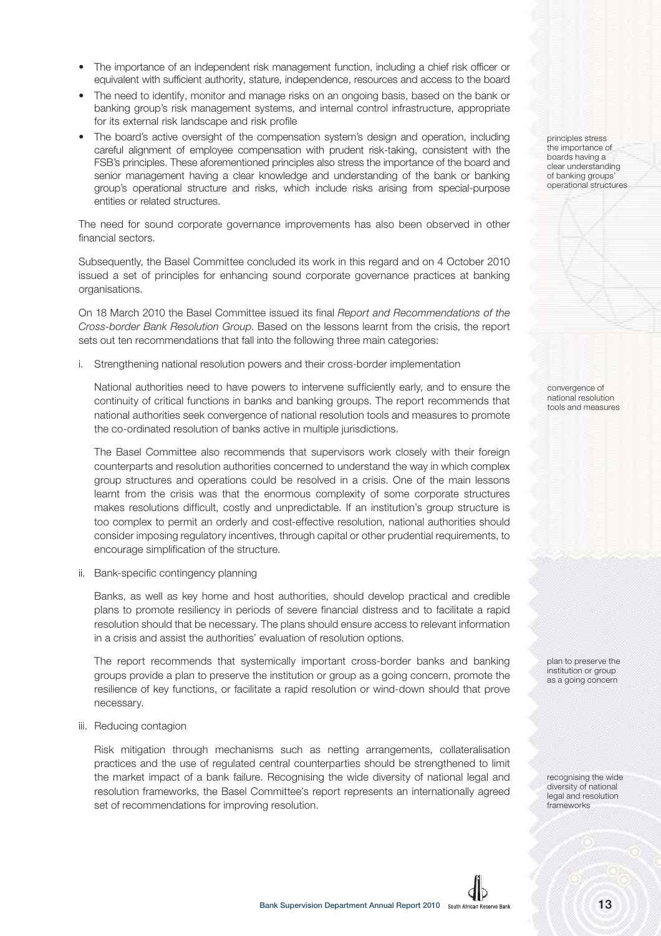- The importance of an independent risk management function, including a chief risk officer or equivalent with sufficient authority, stature, independence, resources and access to the board
- The need to identify, monitor and manage risks on an ongoing basis, based on the bank or banking group's risk management systems, and internal control infrastructure, appropriate for its external risk landscape and risk profile
- The board's active oversight of the compensation system's design and operation, including careful alignment of employee compensation with prudent risk-taking, consistent with the FSB's principles. These aforementioned principles also stress the importance of the board and senior management having a clear knowledge and understanding of the bank or banking group's operational structure and risks, which include risks arising from special-purpose entities or related structures.

The need for sound corporate governance improvements has also been observed in other financial sectors.

Subsequently, the Basel Committee concluded its work in this regard and on 4 October 2010 issued a set of principles for enhancing sound corporate governance practices at banking organisations.

On 18 March 2010 the Basel Committee issued its final Report and Recommendations of the Cross-border Bank Resolution Group. Based on the lessons learnt from the crisis, the report sets out ten recommendations that fall into the following three main categories:

i. Strengthening national resolution powers and their cross-border implementation

National authorities need to have powers to intervene sufficiently early, and to ensure the continuity of critical functions in banks and banking groups. The report recommends that national authorities seek convergence of national resolution tools and measures to promote the co-ordinated resolution of banks active in multiple jurisdictions.

The Basel Committee also recommends that supervisors work closely with their foreign counterparts and resolution authorities concerned to understand the way in which complex group structures and operations could be resolved in a crisis. One of the main lessons learnt from the crisis was that the enormous complexity of some corporate structures makes resolutions difficult, costly and unpredictable. If an institution's group structure is too complex to permit an orderly and cost-effective resolution, national authorities should consider imposing regulatory incentives, through capital or other prudential requirements, to encourage simplification of the structure.

ii. Bank-specific contingency planning

Banks, as well as key home and host authorities, should develop practical and credible plans to promote resiliency in periods of severe financial distress and to facilitate a rapid resolution should that be necessary. The plans should ensure access to relevant information in a crisis and assist the authorities' evaluation of resolution options.

The report recommends that systemically important cross-border banks and banking groups provide a plan to preserve the institution or group as a going concern, promote the resilience of key functions, or facilitate a rapid resolution or wind-down should that prove necessary.

iii. Reducing contagion

Risk mitigation through mechanisms such as netting arrangements, collateralisation practices and the use of regulated central counterparties should be strengthened to limit the market impact of a bank failure. Recognising the wide diversity of national legal and resolution frameworks, the Basel Committee's report represents an internationally agreed set of recommendations for improving resolution.

principles stress the importance of boards having a clear understanding of banking groups' operational structures

convergence of national resolution tools and measures

plan to preserve the institution or group as a going concern

recognising the wide diversity of national legal and resolution frameworks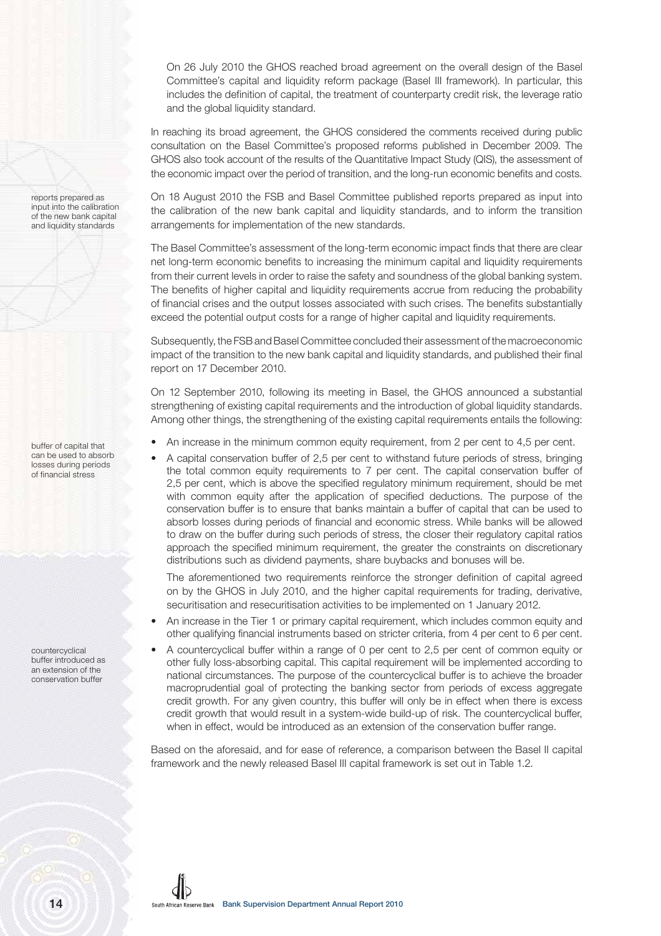On 26 July 2010 the GHOS reached broad agreement on the overall design of the Basel Committee's capital and liquidity reform package (Basel III framework). In particular, this includes the definition of capital, the treatment of counterparty credit risk, the leverage ratio and the global liquidity standard.

In reaching its broad agreement, the GHOS considered the comments received during public consultation on the Basel Committee's proposed reforms published in December 2009. The GHOS also took account of the results of the Quantitative Impact Study (QIS), the assessment of the economic impact over the period of transition, and the long-run economic benefits and costs.

On 18 August 2010 the FSB and Basel Committee published reports prepared as input into the calibration of the new bank capital and liquidity standards, and to inform the transition arrangements for implementation of the new standards.

The Basel Committee's assessment of the long-term economic impact finds that there are clear net long-term economic benefits to increasing the minimum capital and liquidity requirements from their current levels in order to raise the safety and soundness of the global banking system. The benefits of higher capital and liquidity requirements accrue from reducing the probability of financial crises and the output losses associated with such crises. The benefits substantially exceed the potential output costs for a range of higher capital and liquidity requirements.

Subsequently, the FSB and Basel Committee concluded their assessment of the macroeconomic impact of the transition to the new bank capital and liquidity standards, and published their final report on 17 December 2010.

On 12 September 2010, following its meeting in Basel, the GHOS announced a substantial strengthening of existing capital requirements and the introduction of global liquidity standards. Among other things, the strengthening of the existing capital requirements entails the following:

- An increase in the minimum common equity requirement, from 2 per cent to 4,5 per cent.
	- A capital conservation buffer of 2,5 per cent to withstand future periods of stress, bringing the total common equity requirements to 7 per cent. The capital conservation buffer of 2,5 per cent, which is above the specified regulatory minimum requirement, should be met with common equity after the application of specified deductions. The purpose of the conservation buffer is to ensure that banks maintain a buffer of capital that can be used to absorb losses during periods of financial and economic stress. While banks will be allowed to draw on the buffer during such periods of stress, the closer their regulatory capital ratios approach the specified minimum requirement, the greater the constraints on discretionary distributions such as dividend payments, share buybacks and bonuses will be.

The aforementioned two requirements reinforce the stronger definition of capital agreed on by the GHOS in July 2010, and the higher capital requirements for trading, derivative, securitisation and resecuritisation activities to be implemented on 1 January 2012.

- An increase in the Tier 1 or primary capital requirement, which includes common equity and other qualifying financial instruments based on stricter criteria, from 4 per cent to 6 per cent.
- A countercyclical buffer within a range of 0 per cent to 2,5 per cent of common equity or other fully loss-absorbing capital. This capital requirement will be implemented according to national circumstances. The purpose of the countercyclical buffer is to achieve the broader macroprudential goal of protecting the banking sector from periods of excess aggregate credit growth. For any given country, this buffer will only be in effect when there is excess credit growth that would result in a system-wide build-up of risk. The countercyclical buffer, when in effect, would be introduced as an extension of the conservation buffer range.

Based on the aforesaid, and for ease of reference, a comparison between the Basel II capital framework and the newly released Basel III capital framework is set out in Table 1.2.

reports prepared as input into the calibration of the new bank capital and liquidity standards

buffer of capital that can be used to absorb losses during periods of financial stress

countercyclical buffer introduced as an extension of the conservation buffer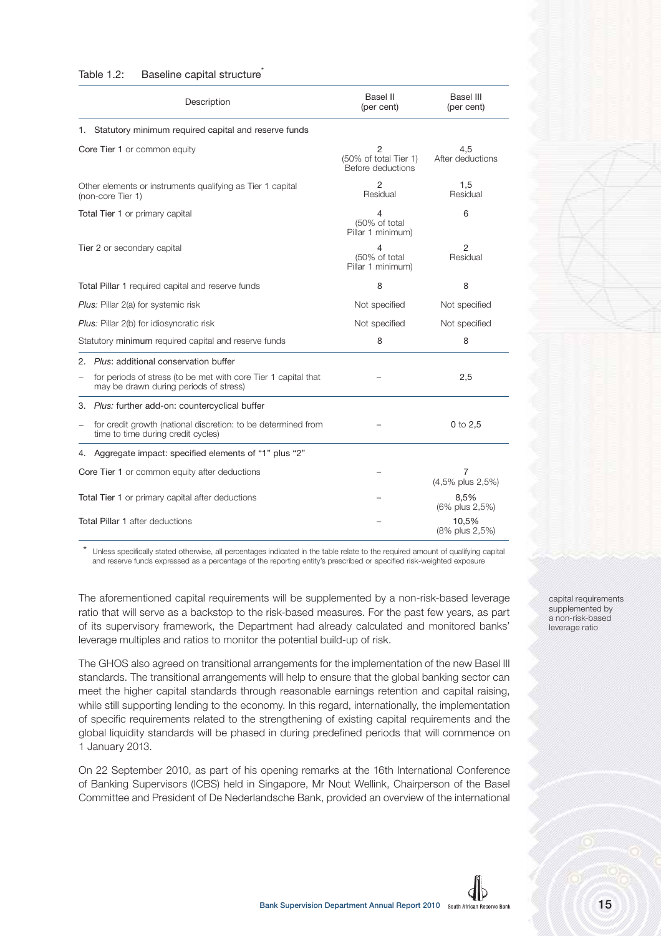#### Table 1.2: Baseline capital structure

|                                                  | Description                                                                                              | Basel II<br>(per cent)                          | Basel III<br>(per cent)    |
|--------------------------------------------------|----------------------------------------------------------------------------------------------------------|-------------------------------------------------|----------------------------|
|                                                  | 1. Statutory minimum required capital and reserve funds                                                  |                                                 |                            |
|                                                  | Core Tier 1 or common equity                                                                             | 2<br>(50% of total Tier 1)<br>Before deductions | 4.5<br>After deductions    |
|                                                  | Other elements or instruments qualifying as Tier 1 capital<br>(non-core Tier 1)                          | 2<br>Residual                                   | 1,5<br>Residual            |
|                                                  | Total Tier 1 or primary capital                                                                          | 4<br>(50% of total<br>Pillar 1 minimum)         | 6                          |
|                                                  | Tier 2 or secondary capital                                                                              | 4<br>(50% of total<br>Pillar 1 minimum)         | $\overline{2}$<br>Residual |
|                                                  | Total Pillar 1 required capital and reserve funds                                                        | 8                                               | 8                          |
|                                                  | Plus: Pillar 2(a) for systemic risk                                                                      | Not specified                                   | Not specified              |
|                                                  | Plus: Pillar 2(b) for idiosyncratic risk                                                                 | Not specified                                   | Not specified              |
|                                                  | Statutory minimum required capital and reserve funds                                                     | 8                                               | 8                          |
| 2.                                               | Plus: additional conservation buffer                                                                     |                                                 |                            |
| $\overline{\phantom{0}}$                         | for periods of stress (to be met with core Tier 1 capital that<br>may be drawn during periods of stress) |                                                 | 2,5                        |
|                                                  | 3. Plus: further add-on: countercyclical buffer                                                          |                                                 |                            |
| $\overline{\phantom{0}}$                         | for credit growth (national discretion: to be determined from<br>time to time during credit cycles)      |                                                 | $0$ to $2.5$               |
| 4.                                               | Aggregate impact: specified elements of "1" plus "2"                                                     |                                                 |                            |
| Core Tier 1 or common equity after deductions    |                                                                                                          |                                                 | 7<br>(4,5% plus 2,5%)      |
| Total Tier 1 or primary capital after deductions |                                                                                                          |                                                 | 8,5%<br>(6% plus 2,5%)     |
|                                                  | <b>Total Pillar 1 after deductions</b>                                                                   |                                                 | 10.5%<br>(8% plus 2,5%)    |

Unless specifically stated otherwise, all percentages indicated in the table relate to the required amount of qualifying capital and reserve funds expressed as a percentage of the reporting entity's prescribed or specified risk-weighted exposure

The aforementioned capital requirements will be supplemented by a non-risk-based leverage ratio that will serve as a backstop to the risk-based measures. For the past few years, as part of its supervisory framework, the Department had already calculated and monitored banks' leverage multiples and ratios to monitor the potential build-up of risk.

The GHOS also agreed on transitional arrangements for the implementation of the new Basel III standards. The transitional arrangements will help to ensure that the global banking sector can meet the higher capital standards through reasonable earnings retention and capital raising, while still supporting lending to the economy. In this regard, internationally, the implementation of specific requirements related to the strengthening of existing capital requirements and the global liquidity standards will be phased in during predefined periods that will commence on 1 January 2013.

On 22 September 2010, as part of his opening remarks at the 16th International Conference of Banking Supervisors (ICBS) held in Singapore, Mr Nout Wellink, Chairperson of the Basel Committee and President of De Nederlandsche Bank, provided an overview of the international capital requirements supplemented by a non-risk-based leverage ratio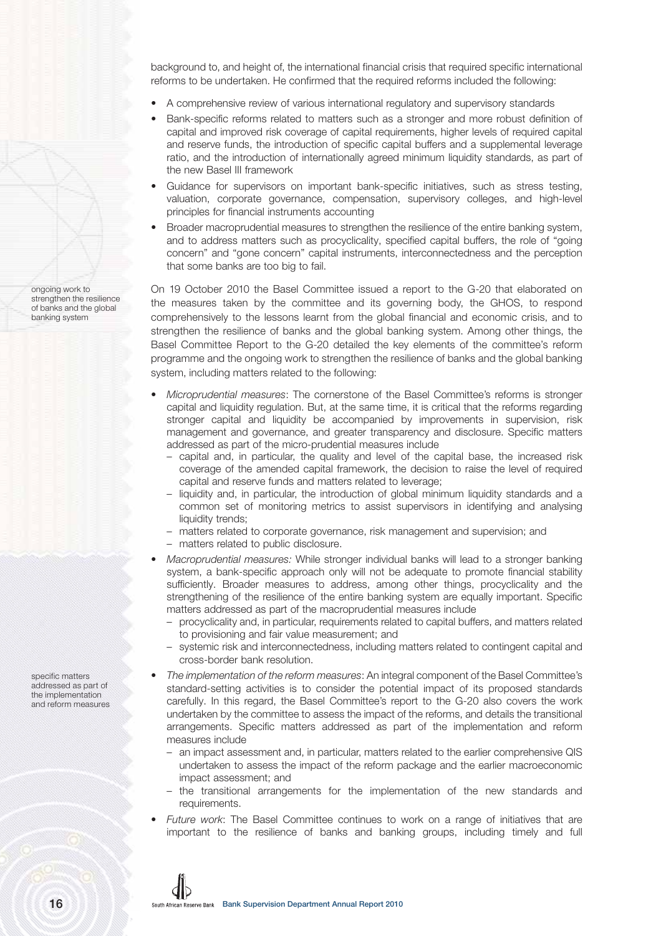background to, and height of, the international financial crisis that required specific international reforms to be undertaken. He confirmed that the required reforms included the following:

- A comprehensive review of various international regulatory and supervisory standards
- Bank-specific reforms related to matters such as a stronger and more robust definition of capital and improved risk coverage of capital requirements, higher levels of required capital and reserve funds, the introduction of specific capital buffers and a supplemental leverage ratio, and the introduction of internationally agreed minimum liquidity standards, as part of the new Basel III framework
- Guidance for supervisors on important bank-specific initiatives, such as stress testing, valuation, corporate governance, compensation, supervisory colleges, and high-level principles for financial instruments accounting
- Broader macroprudential measures to strengthen the resilience of the entire banking system, and to address matters such as procyclicality, specified capital buffers, the role of "going concern" and "gone concern" capital instruments, interconnectedness and the perception that some banks are too big to fail.

On 19 October 2010 the Basel Committee issued a report to the G-20 that elaborated on the measures taken by the committee and its governing body, the GHOS, to respond comprehensively to the lessons learnt from the global financial and economic crisis, and to strengthen the resilience of banks and the global banking system. Among other things, the Basel Committee Report to the G-20 detailed the key elements of the committee's reform programme and the ongoing work to strengthen the resilience of banks and the global banking system, including matters related to the following:

- Microprudential measures: The cornerstone of the Basel Committee's reforms is stronger capital and liquidity regulation. But, at the same time, it is critical that the reforms regarding stronger capital and liquidity be accompanied by improvements in supervision, risk management and governance, and greater transparency and disclosure. Specific matters addressed as part of the micro-prudential measures include
	- capital and, in particular, the quality and level of the capital base, the increased risk coverage of the amended capital framework, the decision to raise the level of required capital and reserve funds and matters related to leverage;
	- liquidity and, in particular, the introduction of global minimum liquidity standards and a common set of monitoring metrics to assist supervisors in identifying and analysing liquidity trends:
	- matters related to corporate governance, risk management and supervision; and
	- matters related to public disclosure.
- Macroprudential measures: While stronger individual banks will lead to a stronger banking system, a bank-specific approach only will not be adequate to promote financial stability sufficiently. Broader measures to address, among other things, procyclicality and the strengthening of the resilience of the entire banking system are equally important. Specific matters addressed as part of the macroprudential measures include
	- procyclicality and, in particular, requirements related to capital buffers, and matters related to provisioning and fair value measurement; and
	- systemic risk and interconnectedness, including matters related to contingent capital and cross-border bank resolution.
- The implementation of the reform measures: An integral component of the Basel Committee's standard-setting activities is to consider the potential impact of its proposed standards carefully. In this regard, the Basel Committee's report to the G-20 also covers the work undertaken by the committee to assess the impact of the reforms, and details the transitional arrangements. Specific matters addressed as part of the implementation and reform measures include
	- an impact assessment and, in particular, matters related to the earlier comprehensive QIS undertaken to assess the impact of the reform package and the earlier macroeconomic impact assessment; and
	- the transitional arrangements for the implementation of the new standards and requirements.
- Future work: The Basel Committee continues to work on a range of initiatives that are important to the resilience of banks and banking groups, including timely and full

ongoing work to strengthen the resilience of banks and the global banking system

specific matters addressed as part of the implementation and reform measures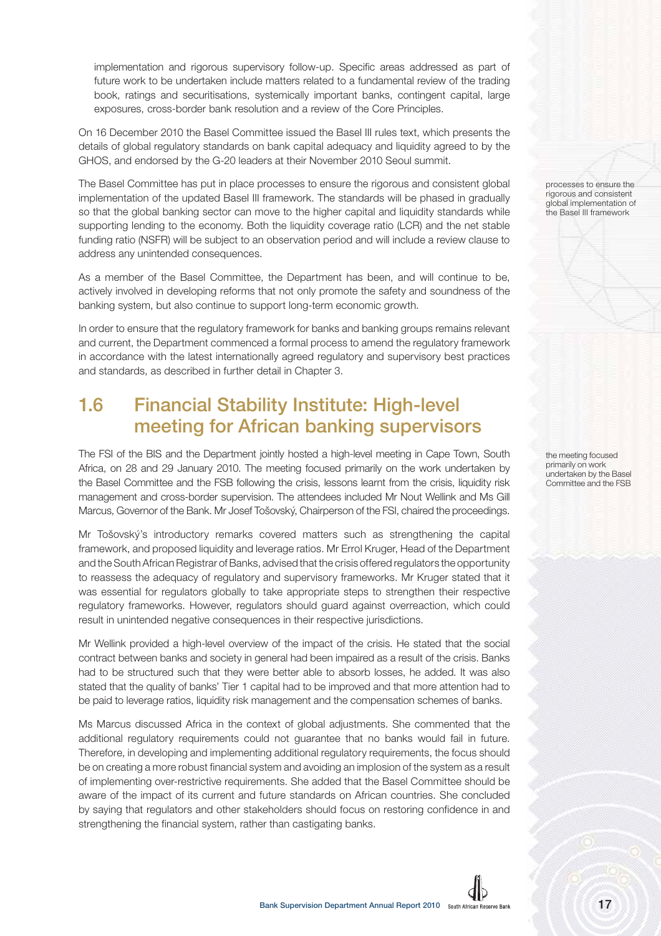implementation and rigorous supervisory follow-up. Specific areas addressed as part of future work to be undertaken include matters related to a fundamental review of the trading book, ratings and securitisations, systemically important banks, contingent capital, large exposures, cross-border bank resolution and a review of the Core Principles.

On 16 December 2010 the Basel Committee issued the Basel III rules text, which presents the details of global regulatory standards on bank capital adequacy and liquidity agreed to by the GHOS, and endorsed by the G-20 leaders at their November 2010 Seoul summit.

The Basel Committee has put in place processes to ensure the rigorous and consistent global implementation of the updated Basel III framework. The standards will be phased in gradually so that the global banking sector can move to the higher capital and liquidity standards while supporting lending to the economy. Both the liquidity coverage ratio (LCR) and the net stable funding ratio (NSFR) will be subject to an observation period and will include a review clause to address any unintended consequences.

As a member of the Basel Committee, the Department has been, and will continue to be, actively involved in developing reforms that not only promote the safety and soundness of the banking system, but also continue to support long-term economic growth.

In order to ensure that the regulatory framework for banks and banking groups remains relevant and current, the Department commenced a formal process to amend the regulatory framework in accordance with the latest internationally agreed regulatory and supervisory best practices and standards, as described in further detail in Chapter 3.

# **1.6 Financial Stability Institute: High-level meeting for African banking supervisors**

The FSI of the BIS and the Department jointly hosted a high-level meeting in Cape Town, South Africa, on 28 and 29 January 2010. The meeting focused primarily on the work undertaken by the Basel Committee and the FSB following the crisis, lessons learnt from the crisis, liquidity risk management and cross-border supervision. The attendees included Mr Nout Wellink and Ms Gill Marcus, Governor of the Bank. Mr Josef Tošovský, Chairperson of the FSI, chaired the proceedings.

Mr Tošovský's introductory remarks covered matters such as strengthening the capital framework, and proposed liquidity and leverage ratios. Mr Errol Kruger, Head of the Department and the South African Registrar of Banks, advised that the crisis offered regulators the opportunity to reassess the adequacy of regulatory and supervisory frameworks. Mr Kruger stated that it was essential for regulators globally to take appropriate steps to strengthen their respective regulatory frameworks. However, regulators should guard against overreaction, which could result in unintended negative consequences in their respective jurisdictions.

Mr Wellink provided a high-level overview of the impact of the crisis. He stated that the social contract between banks and society in general had been impaired as a result of the crisis. Banks had to be structured such that they were better able to absorb losses, he added. It was also stated that the quality of banks' Tier 1 capital had to be improved and that more attention had to be paid to leverage ratios, liquidity risk management and the compensation schemes of banks.

Ms Marcus discussed Africa in the context of global adjustments. She commented that the additional regulatory requirements could not guarantee that no banks would fail in future. Therefore, in developing and implementing additional regulatory requirements, the focus should be on creating a more robust financial system and avoiding an implosion of the system as a result of implementing over-restrictive requirements. She added that the Basel Committee should be aware of the impact of its current and future standards on African countries. She concluded by saying that regulators and other stakeholders should focus on restoring confidence in and strengthening the financial system, rather than castigating banks.

processes to ensure the rigorous and consistent global implementation of the Basel III framework

the meeting focused primarily on work undertaken by the Basel Committee and the FSB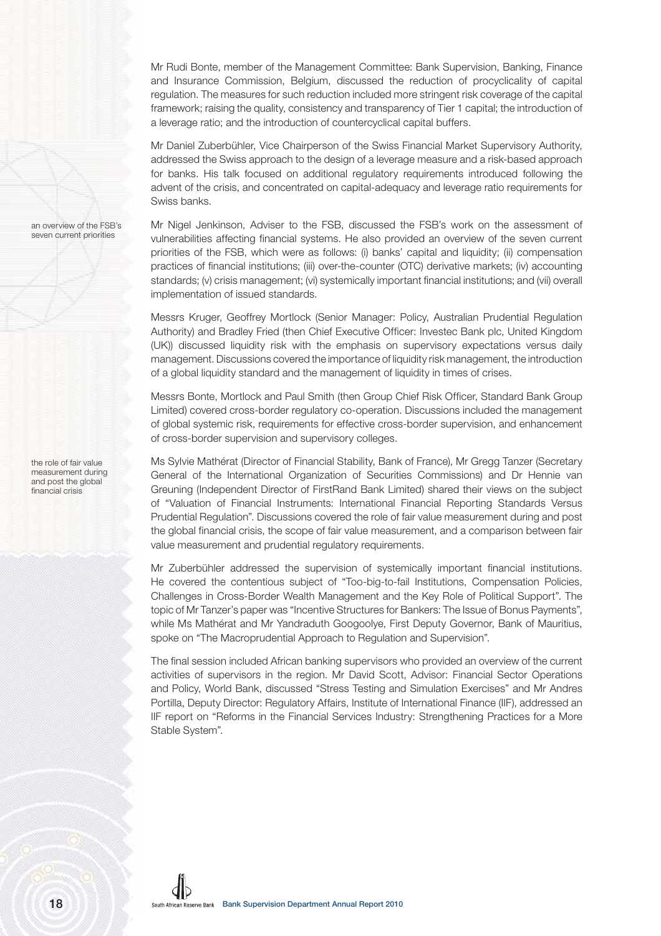Mr Rudi Bonte, member of the Management Committee: Bank Supervision, Banking, Finance and Insurance Commission, Belgium, discussed the reduction of procyclicality of capital regulation. The measures for such reduction included more stringent risk coverage of the capital framework; raising the quality, consistency and transparency of Tier 1 capital; the introduction of a leverage ratio; and the introduction of countercyclical capital buffers.

Mr Daniel Zuberbühler, Vice Chairperson of the Swiss Financial Market Supervisory Authority, addressed the Swiss approach to the design of a leverage measure and a risk-based approach for banks. His talk focused on additional regulatory requirements introduced following the advent of the crisis, and concentrated on capital-adequacy and leverage ratio requirements for Swiss banks.

Mr Nigel Jenkinson, Adviser to the FSB, discussed the FSB's work on the assessment of vulnerabilities affecting financial systems. He also provided an overview of the seven current priorities of the FSB, which were as follows: (i) banks' capital and liquidity; (ii) compensation practices of financial institutions; (iii) over-the-counter (OTC) derivative markets; (iv) accounting standards; (v) crisis management; (vi) systemically important financial institutions; and (vii) overall implementation of issued standards.

Messrs Kruger, Geoffrey Mortlock (Senior Manager: Policy, Australian Prudential Regulation Authority) and Bradley Fried (then Chief Executive Officer: Investec Bank plc, United Kingdom (UK)) discussed liquidity risk with the emphasis on supervisory expectations versus daily management. Discussions covered the importance of liquidity risk management, the introduction of a global liquidity standard and the management of liquidity in times of crises.

Messrs Bonte, Mortlock and Paul Smith (then Group Chief Risk Officer, Standard Bank Group Limited) covered cross-border regulatory co-operation. Discussions included the management of global systemic risk, requirements for effective cross-border supervision, and enhancement of cross-border supervision and supervisory colleges.

Ms Sylvie Mathérat (Director of Financial Stability, Bank of France), Mr Gregg Tanzer (Secretary General of the International Organization of Securities Commissions) and Dr Hennie van Greuning (Independent Director of FirstRand Bank Limited) shared their views on the subject of "Valuation of Financial Instruments: International Financial Reporting Standards Versus Prudential Regulation". Discussions covered the role of fair value measurement during and post the global financial crisis, the scope of fair value measurement, and a comparison between fair value measurement and prudential regulatory requirements.

Mr Zuberbühler addressed the supervision of systemically important financial institutions. He covered the contentious subject of "Too-big-to-fail Institutions, Compensation Policies, Challenges in Cross-Border Wealth Management and the Key Role of Political Support". The topic of Mr Tanzer's paper was "Incentive Structures for Bankers: The Issue of Bonus Payments", while Ms Mathérat and Mr Yandraduth Googoolye, First Deputy Governor, Bank of Mauritius, spoke on "The Macroprudential Approach to Regulation and Supervision".

The final session included African banking supervisors who provided an overview of the current activities of supervisors in the region. Mr David Scott, Advisor: Financial Sector Operations and Policy, World Bank, discussed "Stress Testing and Simulation Exercises" and Mr Andres Portilla, Deputy Director: Regulatory Affairs, Institute of International Finance (IIF), addressed an IIF report on "Reforms in the Financial Services Industry: Strengthening Practices for a More Stable System".

an overview of the FSB's seven current priorities

the role of fair value measurement during and post the global financial crisis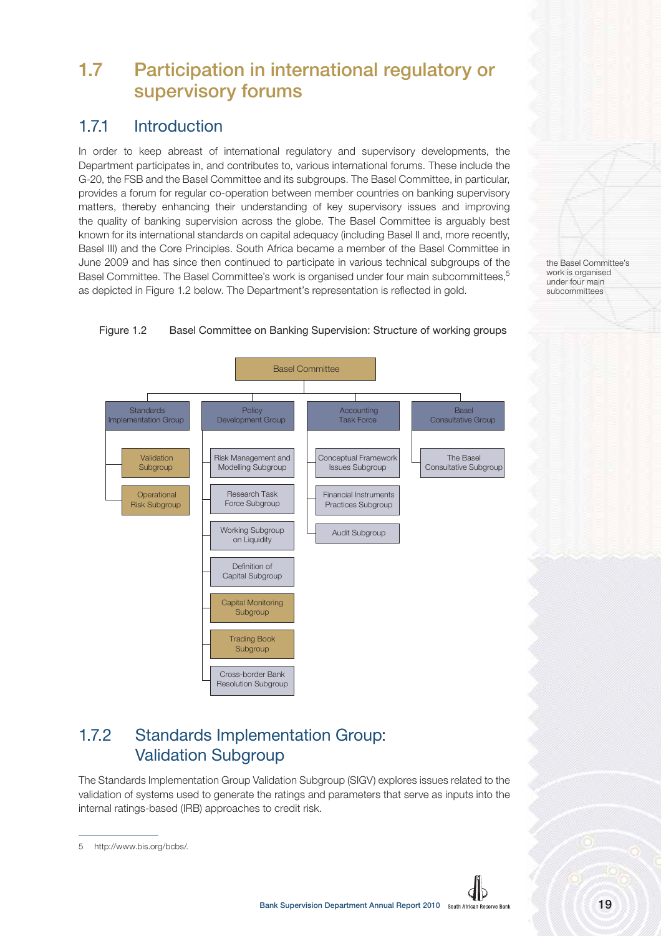# **1.7 Participation in international regulatory or supervisory forums**

## 1.7.1 Introduction

In order to keep abreast of international regulatory and supervisory developments, the Department participates in, and contributes to, various international forums. These include the G-20, the FSB and the Basel Committee and its subgroups. The Basel Committee, in particular, provides a forum for regular co-operation between member countries on banking supervisory matters, thereby enhancing their understanding of key supervisory issues and improving the quality of banking supervision across the globe. The Basel Committee is arguably best known for its international standards on capital adequacy (including Basel II and, more recently, Basel III) and the Core Principles. South Africa became a member of the Basel Committee in June 2009 and has since then continued to participate in various technical subgroups of the Basel Committee. The Basel Committee's work is organised under four main subcommittees,<sup>5</sup> as depicted in Figure 1.2 below. The Department's representation is reflected in gold.

the Basel Committee's work is organised under four main subcommittees



Figure 1.2 Basel Committee on Banking Supervision: Structure of working groups

### 1.7.2 Standards Implementation Group: Validation Subgroup

The Standards Implementation Group Validation Subgroup (SIGV) explores issues related to the validation of systems used to generate the ratings and parameters that serve as inputs into the internal ratings-based (IRB) approaches to credit risk.

<sup>5</sup> http://www.bis.org/bcbs/.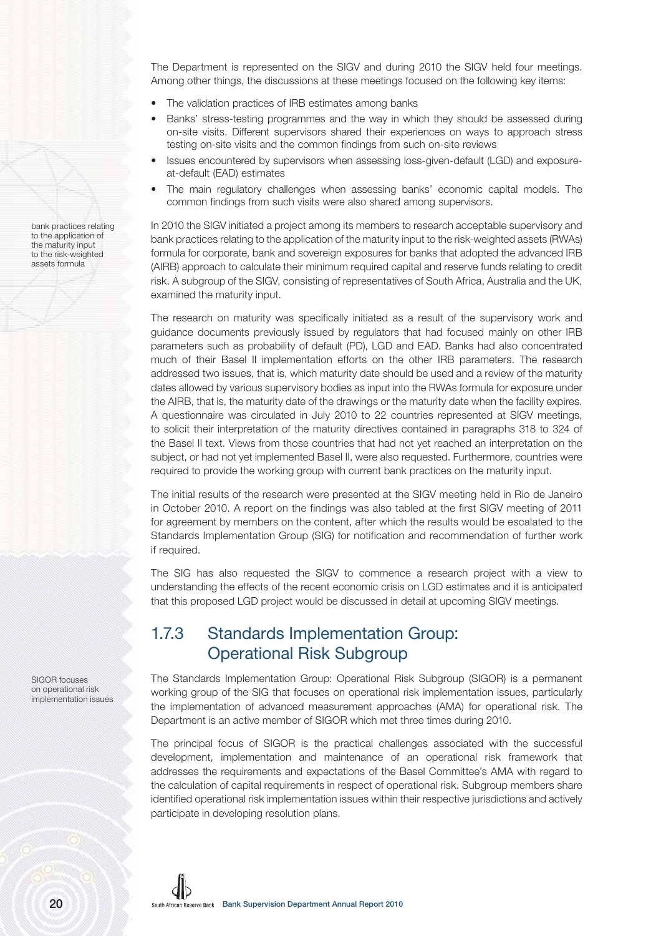The Department is represented on the SIGV and during 2010 the SIGV held four meetings. Among other things, the discussions at these meetings focused on the following key items:

- The validation practices of IRB estimates among banks
- Banks' stress-testing programmes and the way in which they should be assessed during on-site visits. Different supervisors shared their experiences on ways to approach stress testing on-site visits and the common findings from such on-site reviews
- Issues encountered by supervisors when assessing loss-given-default (LGD) and exposureat-default (EAD) estimates
- The main regulatory challenges when assessing banks' economic capital models. The common findings from such visits were also shared among supervisors.

In 2010 the SIGV initiated a project among its members to research acceptable supervisory and bank practices relating to the application of the maturity input to the risk-weighted assets (RWAs) formula for corporate, bank and sovereign exposures for banks that adopted the advanced IRB (AIRB) approach to calculate their minimum required capital and reserve funds relating to credit risk. A subgroup of the SIGV, consisting of representatives of South Africa, Australia and the UK, examined the maturity input.

The research on maturity was specifically initiated as a result of the supervisory work and guidance documents previously issued by regulators that had focused mainly on other IRB parameters such as probability of default (PD), LGD and EAD. Banks had also concentrated much of their Basel II implementation efforts on the other IRB parameters. The research addressed two issues, that is, which maturity date should be used and a review of the maturity dates allowed by various supervisory bodies as input into the RWAs formula for exposure under the AIRB, that is, the maturity date of the drawings or the maturity date when the facility expires. A questionnaire was circulated in July 2010 to 22 countries represented at SIGV meetings, to solicit their interpretation of the maturity directives contained in paragraphs 318 to 324 of the Basel II text. Views from those countries that had not yet reached an interpretation on the subject, or had not yet implemented Basel II, were also requested. Furthermore, countries were required to provide the working group with current bank practices on the maturity input.

The initial results of the research were presented at the SIGV meeting held in Rio de Janeiro in October 2010. A report on the findings was also tabled at the first SIGV meeting of 2011 for agreement by members on the content, after which the results would be escalated to the Standards Implementation Group (SIG) for notification and recommendation of further work if required.

The SIG has also requested the SIGV to commence a research project with a view to understanding the effects of the recent economic crisis on LGD estimates and it is anticipated that this proposed LGD project would be discussed in detail at upcoming SIGV meetings.

### 1.7.3 Standards Implementation Group: Operational Risk Subgroup

The Standards Implementation Group: Operational Risk Subgroup (SIGOR) is a permanent working group of the SIG that focuses on operational risk implementation issues, particularly the implementation of advanced measurement approaches (AMA) for operational risk. The Department is an active member of SIGOR which met three times during 2010.

The principal focus of SIGOR is the practical challenges associated with the successful development, implementation and maintenance of an operational risk framework that addresses the requirements and expectations of the Basel Committee's AMA with regard to the calculation of capital requirements in respect of operational risk. Subgroup members share identified operational risk implementation issues within their respective jurisdictions and actively participate in developing resolution plans.

bank practices relating to the application of the maturity input to the risk-weighted assets formula

SIGOR focuses on operational risk implementation issues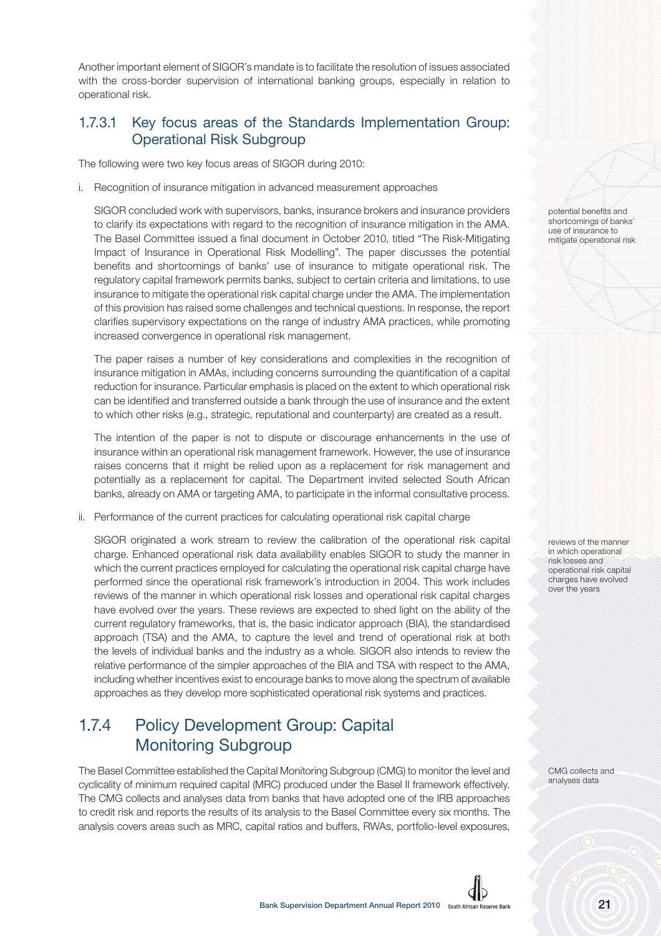Another important element of SIGOR's mandate is to facilitate the resolution of issues associated with the cross-border supervision of international banking groups, especially in relation to operational risk.

#### 1.7.3.1 Key focus areas of the Standards Implementation Group: Operational Risk Subgroup

The following were two key focus areas of SIGOR during 2010:

i. Recognition of insurance mitigation in advanced measurement approaches

SIGOR concluded work with supervisors, banks, insurance brokers and insurance providers to clarify its expectations with regard to the recognition of insurance mitigation in the AMA. The Basel Committee issued a final document in October 2010, titled "The Risk-Mitigating Impact of Insurance in Operational Risk Modelling". The paper discusses the potential benefits and shortcomings of banks' use of insurance to mitigate operational risk. The regulatory capital framework permits banks, subject to certain criteria and limitations, to use insurance to mitigate the operational risk capital charge under the AMA. The implementation of this provision has raised some challenges and technical questions. In response, the report clarifies supervisory expectations on the range of industry AMA practices, while promoting increased convergence in operational risk management.

The paper raises a number of key considerations and complexities in the recognition of insurance mitigation in AMAs, including concerns surrounding the quantification of a capital reduction for insurance. Particular emphasis is placed on the extent to which operational risk can be identified and transferred outside a bank through the use of insurance and the extent to which other risks (e.g., strategic, reputational and counterparty) are created as a result.

The intention of the paper is not to dispute or discourage enhancements in the use of insurance within an operational risk management framework. However, the use of insurance raises concerns that it might be relied upon as a replacement for risk management and potentially as a replacement for capital. The Department invited selected South African banks, already on AMA or targeting AMA, to participate in the informal consultative process.

ii. Performance of the current practices for calculating operational risk capital charge

SIGOR originated a work stream to review the calibration of the operational risk capital charge. Enhanced operational risk data availability enables SIGOR to study the manner in which the current practices employed for calculating the operational risk capital charge have performed since the operational risk framework's introduction in 2004. This work includes reviews of the manner in which operational risk losses and operational risk capital charges have evolved over the years. These reviews are expected to shed light on the ability of the current regulatory frameworks, that is, the basic indicator approach (BIA), the standardised approach (TSA) and the AMA, to capture the level and trend of operational risk at both the levels of individual banks and the industry as a whole. SIGOR also intends to review the relative performance of the simpler approaches of the BIA and TSA with respect to the AMA, including whether incentives exist to encourage banks to move along the spectrum of available approaches as they develop more sophisticated operational risk systems and practices.

### 1.7.4 Policy Development Group: Capital Monitoring Subgroup

The Basel Committee established the Capital Monitoring Subgroup (CMG) to monitor the level and cyclicality of minimum required capital (MRC) produced under the Basel II framework effectively. The CMG collects and analyses data from banks that have adopted one of the IRB approaches to credit risk and reports the results of its analysis to the Basel Committee every six months. The analysis covers areas such as MRC, capital ratios and buffers, RWAs, portfolio-level exposures,

potential benefits and shortcomings of banks' use of insurance to mitigate operational risk

reviews of the manner in which operational risk losses and operational risk capital charges have evolved over the years

CMG collects and analyses data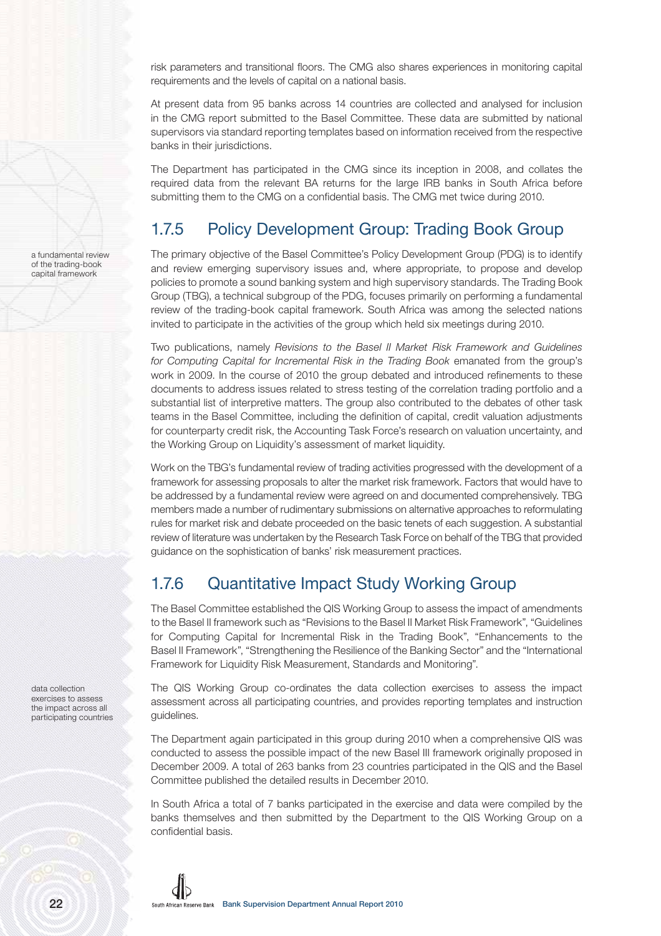risk parameters and transitional floors. The CMG also shares experiences in monitoring capital requirements and the levels of capital on a national basis.

At present data from 95 banks across 14 countries are collected and analysed for inclusion in the CMG report submitted to the Basel Committee. These data are submitted by national supervisors via standard reporting templates based on information received from the respective banks in their jurisdictions.

The Department has participated in the CMG since its inception in 2008, and collates the required data from the relevant BA returns for the large IRB banks in South Africa before submitting them to the CMG on a confidential basis. The CMG met twice during 2010.

## 1.7.5 Policy Development Group: Trading Book Group

The primary objective of the Basel Committee's Policy Development Group (PDG) is to identify and review emerging supervisory issues and, where appropriate, to propose and develop policies to promote a sound banking system and high supervisory standards. The Trading Book Group (TBG), a technical subgroup of the PDG, focuses primarily on performing a fundamental review of the trading-book capital framework. South Africa was among the selected nations invited to participate in the activities of the group which held six meetings during 2010.

Two publications, namely Revisions to the Basel II Market Risk Framework and Guidelines for Computing Capital for Incremental Risk in the Trading Book emanated from the group's work in 2009. In the course of 2010 the group debated and introduced refinements to these documents to address issues related to stress testing of the correlation trading portfolio and a substantial list of interpretive matters. The group also contributed to the debates of other task teams in the Basel Committee, including the definition of capital, credit valuation adjustments for counterparty credit risk, the Accounting Task Force's research on valuation uncertainty, and the Working Group on Liquidity's assessment of market liquidity.

Work on the TBG's fundamental review of trading activities progressed with the development of a framework for assessing proposals to alter the market risk framework. Factors that would have to be addressed by a fundamental review were agreed on and documented comprehensively. TBG members made a number of rudimentary submissions on alternative approaches to reformulating rules for market risk and debate proceeded on the basic tenets of each suggestion. A substantial review of literature was undertaken by the Research Task Force on behalf of the TBG that provided guidance on the sophistication of banks' risk measurement practices.

### 1.7.6 Quantitative Impact Study Working Group

The Basel Committee established the QIS Working Group to assess the impact of amendments to the Basel II framework such as "Revisions to the Basel II Market Risk Framework", "Guidelines for Computing Capital for Incremental Risk in the Trading Book", "Enhancements to the Basel II Framework", "Strengthening the Resilience of the Banking Sector" and the "International Framework for Liquidity Risk Measurement, Standards and Monitoring".

The QIS Working Group co-ordinates the data collection exercises to assess the impact assessment across all participating countries, and provides reporting templates and instruction guidelines.

The Department again participated in this group during 2010 when a comprehensive QIS was conducted to assess the possible impact of the new Basel III framework originally proposed in December 2009. A total of 263 banks from 23 countries participated in the QIS and the Basel Committee published the detailed results in December 2010.

In South Africa a total of 7 banks participated in the exercise and data were compiled by the banks themselves and then submitted by the Department to the QIS Working Group on a confidential basis.

data collection exercises to assess the impact across all participating countries

a fundamental review of the trading-book capital framework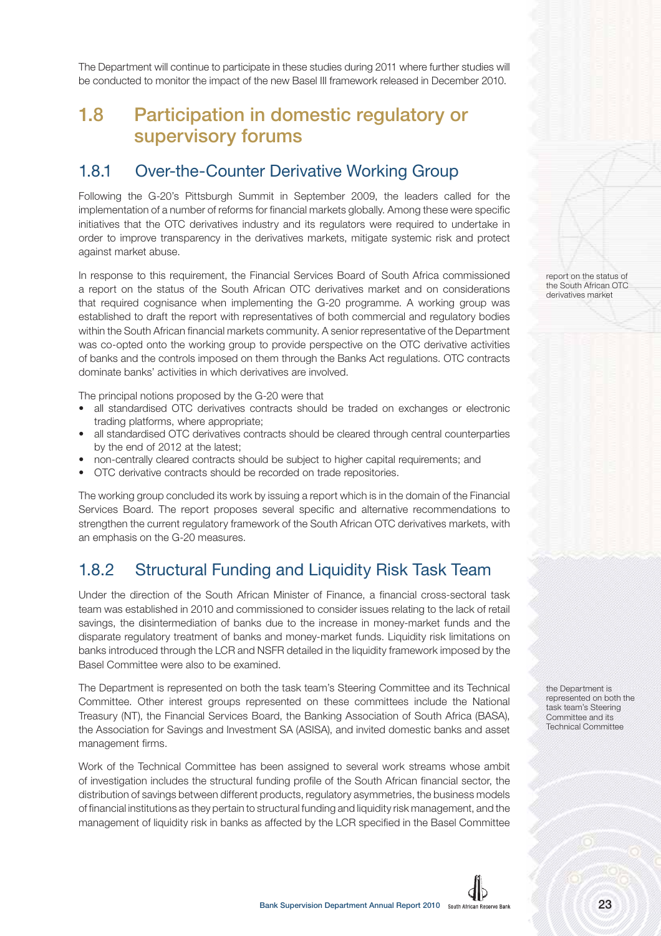The Department will continue to participate in these studies during 2011 where further studies will be conducted to monitor the impact of the new Basel III framework released in December 2010.

# **1.8 Participation in domestic regulatory or supervisory forums**

#### 1.8.1 Over-the-Counter Derivative Working Group

Following the G-20's Pittsburgh Summit in September 2009, the leaders called for the implementation of a number of reforms for financial markets globally. Among these were specific initiatives that the OTC derivatives industry and its regulators were required to undertake in order to improve transparency in the derivatives markets, mitigate systemic risk and protect against market abuse.

In response to this requirement, the Financial Services Board of South Africa commissioned a report on the status of the South African OTC derivatives market and on considerations that required cognisance when implementing the G-20 programme. A working group was established to draft the report with representatives of both commercial and regulatory bodies within the South African financial markets community. A senior representative of the Department was co-opted onto the working group to provide perspective on the OTC derivative activities of banks and the controls imposed on them through the Banks Act regulations. OTC contracts dominate banks' activities in which derivatives are involved.

The principal notions proposed by the G-20 were that

- all standardised OTC derivatives contracts should be traded on exchanges or electronic trading platforms, where appropriate;
- all standardised OTC derivatives contracts should be cleared through central counterparties by the end of 2012 at the latest;
- non-centrally cleared contracts should be subject to higher capital requirements; and
- OTC derivative contracts should be recorded on trade repositories.

The working group concluded its work by issuing a report which is in the domain of the Financial Services Board. The report proposes several specific and alternative recommendations to strengthen the current regulatory framework of the South African OTC derivatives markets, with an emphasis on the G-20 measures.

### 1.8.2 Structural Funding and Liquidity Risk Task Team

Under the direction of the South African Minister of Finance, a financial cross-sectoral task team was established in 2010 and commissioned to consider issues relating to the lack of retail savings, the disintermediation of banks due to the increase in money-market funds and the disparate regulatory treatment of banks and money-market funds. Liquidity risk limitations on banks introduced through the LCR and NSFR detailed in the liquidity framework imposed by the Basel Committee were also to be examined.

The Department is represented on both the task team's Steering Committee and its Technical Committee. Other interest groups represented on these committees include the National Treasury (NT), the Financial Services Board, the Banking Association of South Africa (BASA), the Association for Savings and Investment SA (ASISA), and invited domestic banks and asset management firms.

Work of the Technical Committee has been assigned to several work streams whose ambit of investigation includes the structural funding profile of the South African financial sector, the distribution of savings between different products, regulatory asymmetries, the business models of financial institutions as they pertain to structural funding and liquidity risk management, and the management of liquidity risk in banks as affected by the LCR specified in the Basel Committee report on the status of the South African OTC derivatives market

the Department is represented on both the task team's Steering Committee and its Technical Committee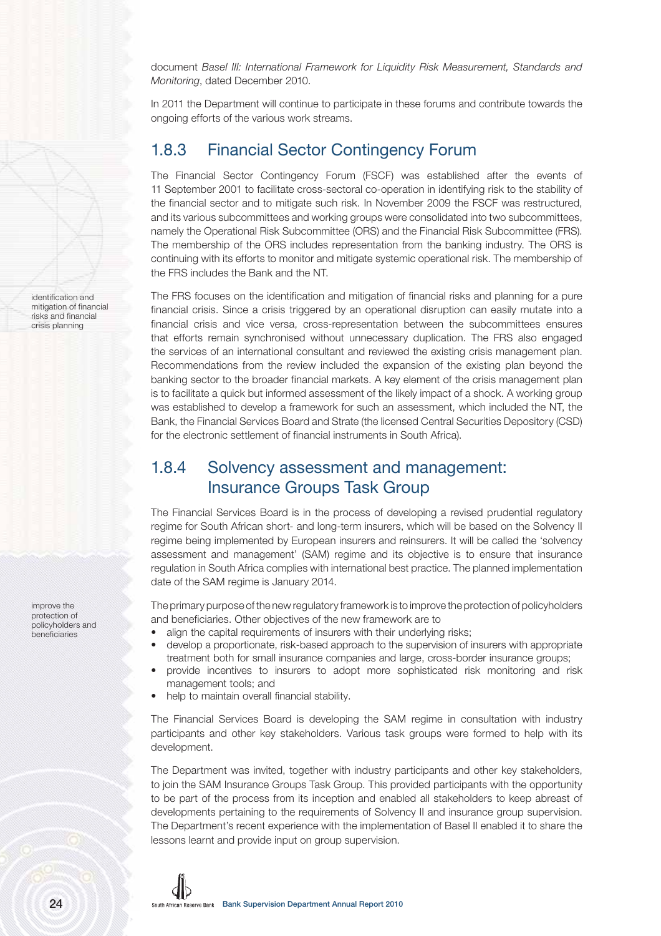document Basel III: International Framework for Liquidity Risk Measurement, Standards and Monitoring, dated December 2010.

In 2011 the Department will continue to participate in these forums and contribute towards the ongoing efforts of the various work streams.

### 1.8.3 Financial Sector Contingency Forum

The Financial Sector Contingency Forum (FSCF) was established after the events of 11 September 2001 to facilitate cross-sectoral co-operation in identifying risk to the stability of the financial sector and to mitigate such risk. In November 2009 the FSCF was restructured, and its various subcommittees and working groups were consolidated into two subcommittees, namely the Operational Risk Subcommittee (ORS) and the Financial Risk Subcommittee (FRS). The membership of the ORS includes representation from the banking industry. The ORS is continuing with its efforts to monitor and mitigate systemic operational risk. The membership of the FRS includes the Bank and the NT.

The FRS focuses on the identification and mitigation of financial risks and planning for a pure financial crisis. Since a crisis triggered by an operational disruption can easily mutate into a financial crisis and vice versa, cross-representation between the subcommittees ensures that efforts remain synchronised without unnecessary duplication. The FRS also engaged the services of an international consultant and reviewed the existing crisis management plan. Recommendations from the review included the expansion of the existing plan beyond the banking sector to the broader financial markets. A key element of the crisis management plan is to facilitate a quick but informed assessment of the likely impact of a shock. A working group was established to develop a framework for such an assessment, which included the NT, the Bank, the Financial Services Board and Strate (the licensed Central Securities Depository (CSD) for the electronic settlement of financial instruments in South Africa).

### 1.8.4 Solvency assessment and management: Insurance Groups Task Group

The Financial Services Board is in the process of developing a revised prudential regulatory regime for South African short- and long-term insurers, which will be based on the Solvency II regime being implemented by European insurers and reinsurers. It will be called the 'solvency assessment and management' (SAM) regime and its objective is to ensure that insurance regulation in South Africa complies with international best practice. The planned implementation date of the SAM regime is January 2014.

The primary purpose of the new regulatory framework is to improve the protection of policyholders and beneficiaries. Other objectives of the new framework are to

- align the capital requirements of insurers with their underlying risks;
- develop a proportionate, risk-based approach to the supervision of insurers with appropriate treatment both for small insurance companies and large, cross-border insurance groups;
- provide incentives to insurers to adopt more sophisticated risk monitoring and risk management tools; and
- help to maintain overall financial stability.

The Financial Services Board is developing the SAM regime in consultation with industry participants and other key stakeholders. Various task groups were formed to help with its development.

The Department was invited, together with industry participants and other key stakeholders, to join the SAM Insurance Groups Task Group. This provided participants with the opportunity to be part of the process from its inception and enabled all stakeholders to keep abreast of developments pertaining to the requirements of Solvency II and insurance group supervision. The Department's recent experience with the implementation of Basel II enabled it to share the lessons learnt and provide input on group supervision.



identification and mitigation of financial risks and financial crisis planning

improve the protection of policyholders and beneficiaries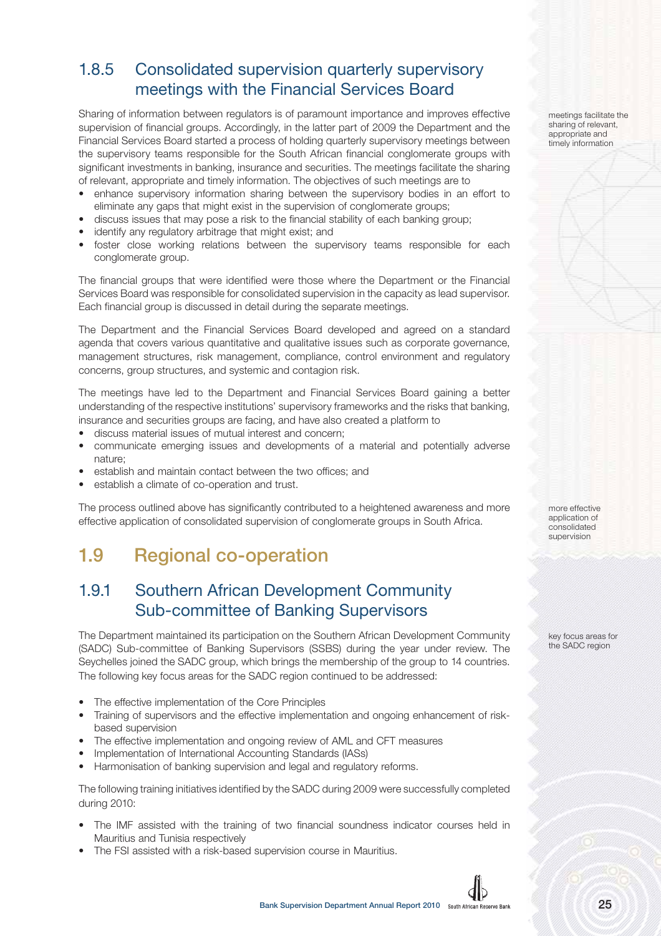### 1.8.5 Consolidated supervision quarterly supervisory meetings with the Financial Services Board

Sharing of information between regulators is of paramount importance and improves effective supervision of financial groups. Accordingly, in the latter part of 2009 the Department and the Financial Services Board started a process of holding quarterly supervisory meetings between the supervisory teams responsible for the South African financial conglomerate groups with significant investments in banking, insurance and securities. The meetings facilitate the sharing of relevant, appropriate and timely information. The objectives of such meetings are to

- enhance supervisory information sharing between the supervisory bodies in an effort to eliminate any gaps that might exist in the supervision of conglomerate groups;
- discuss issues that may pose a risk to the financial stability of each banking group;
- identify any regulatory arbitrage that might exist; and
- foster close working relations between the supervisory teams responsible for each conglomerate group.

The financial groups that were identified were those where the Department or the Financial Services Board was responsible for consolidated supervision in the capacity as lead supervisor. Each financial group is discussed in detail during the separate meetings.

The Department and the Financial Services Board developed and agreed on a standard agenda that covers various quantitative and qualitative issues such as corporate governance, management structures, risk management, compliance, control environment and regulatory concerns, group structures, and systemic and contagion risk.

The meetings have led to the Department and Financial Services Board gaining a better understanding of the respective institutions' supervisory frameworks and the risks that banking, insurance and securities groups are facing, and have also created a platform to

- discuss material issues of mutual interest and concern;
- communicate emerging issues and developments of a material and potentially adverse nature;
- establish and maintain contact between the two offices; and
- establish a climate of co-operation and trust.

The process outlined above has significantly contributed to a heightened awareness and more effective application of consolidated supervision of conglomerate groups in South Africa.

# **1.9 Regional co-operation**

#### 1.9.1 Southern African Development Community Sub-committee of Banking Supervisors

The Department maintained its participation on the Southern African Development Community (SADC) Sub-committee of Banking Supervisors (SSBS) during the year under review. The Seychelles joined the SADC group, which brings the membership of the group to 14 countries. The following key focus areas for the SADC region continued to be addressed:

- The effective implementation of the Core Principles
- Training of supervisors and the effective implementation and ongoing enhancement of riskbased supervision
- The effective implementation and ongoing review of AML and CFT measures
- Implementation of International Accounting Standards (IASs)
- Harmonisation of banking supervision and legal and regulatory reforms.

The following training initiatives identified by the SADC during 2009 were successfully completed during 2010:

- The IMF assisted with the training of two financial soundness indicator courses held in Mauritius and Tunisia respectively
- The FSI assisted with a risk-based supervision course in Mauritius.

meetings facilitate the sharing of relevant, appropriate and timely information

more effective application of consolidated supervision

key focus areas for the SADC region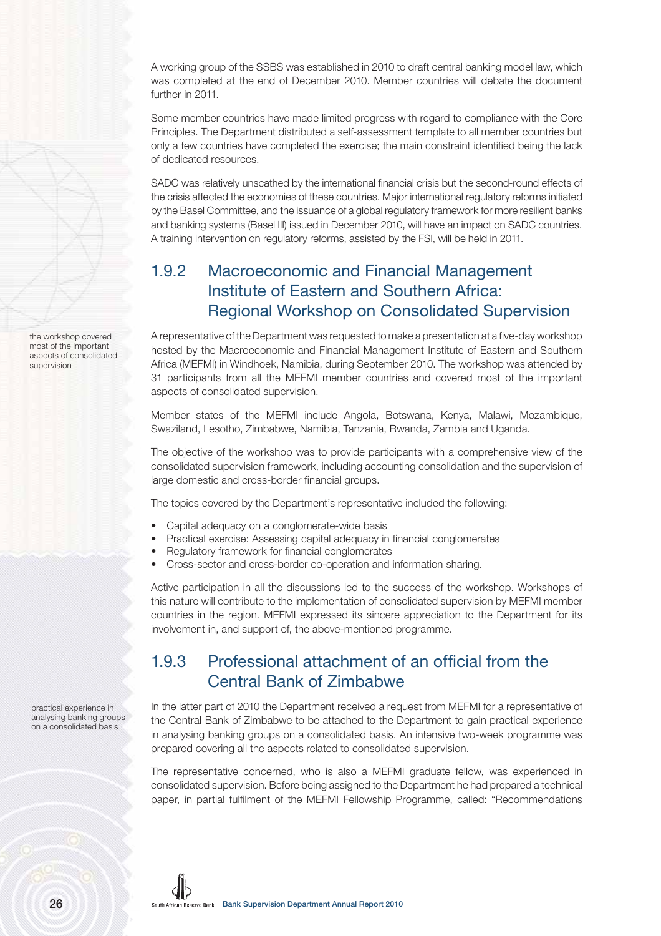A working group of the SSBS was established in 2010 to draft central banking model law, which was completed at the end of December 2010. Member countries will debate the document further in 2011.

Some member countries have made limited progress with regard to compliance with the Core Principles. The Department distributed a self-assessment template to all member countries but only a few countries have completed the exercise; the main constraint identified being the lack of dedicated resources.

SADC was relatively unscathed by the international financial crisis but the second-round effects of the crisis affected the economies of these countries. Major international regulatory reforms initiated by the Basel Committee, and the issuance of a global regulatory framework for more resilient banks and banking systems (Basel III) issued in December 2010, will have an impact on SADC countries. A training intervention on regulatory reforms, assisted by the FSI, will be held in 2011.

### 1.9.2 Macroeconomic and Financial Management Institute of Eastern and Southern Africa: Regional Workshop on Consolidated Supervision

A representative of the Department was requested to make a presentation at a five-day workshop hosted by the Macroeconomic and Financial Management Institute of Eastern and Southern Africa (MEFMI) in Windhoek, Namibia, during September 2010. The workshop was attended by 31 participants from all the MEFMI member countries and covered most of the important aspects of consolidated supervision.

Member states of the MEFMI include Angola, Botswana, Kenya, Malawi, Mozambique, Swaziland, Lesotho, Zimbabwe, Namibia, Tanzania, Rwanda, Zambia and Uganda.

The objective of the workshop was to provide participants with a comprehensive view of the consolidated supervision framework, including accounting consolidation and the supervision of large domestic and cross-border financial groups.

The topics covered by the Department's representative included the following:

- Capital adequacy on a conglomerate-wide basis
- Practical exercise: Assessing capital adequacy in financial conglomerates
- Regulatory framework for financial conglomerates
- Cross-sector and cross-border co-operation and information sharing.

Active participation in all the discussions led to the success of the workshop. Workshops of this nature will contribute to the implementation of consolidated supervision by MEFMI member countries in the region. MEFMI expressed its sincere appreciation to the Department for its involvement in, and support of, the above-mentioned programme.

### 1.9.3 Professional attachment of an official from the Central Bank of Zimbabwe

In the latter part of 2010 the Department received a request from MEFMI for a representative of the Central Bank of Zimbabwe to be attached to the Department to gain practical experience in analysing banking groups on a consolidated basis. An intensive two-week programme was prepared covering all the aspects related to consolidated supervision.

The representative concerned, who is also a MEFMI graduate fellow, was experienced in consolidated supervision. Before being assigned to the Department he had prepared a technical paper, in partial fulfilment of the MEFMI Fellowship Programme, called: "Recommendations

practical experience in analysing banking groups on a consolidated basis

the workshop covered most of the important aspects of consolidated

supervision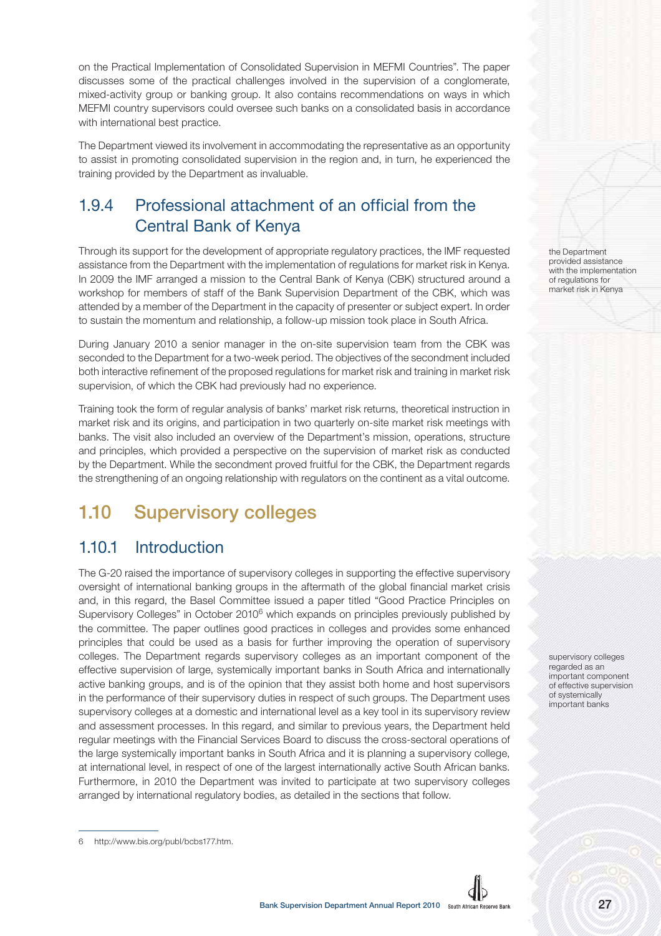on the Practical Implementation of Consolidated Supervision in MEFMI Countries". The paper discusses some of the practical challenges involved in the supervision of a conglomerate, mixed-activity group or banking group. It also contains recommendations on ways in which MEFMI country supervisors could oversee such banks on a consolidated basis in accordance with international best practice.

The Department viewed its involvement in accommodating the representative as an opportunity to assist in promoting consolidated supervision in the region and, in turn, he experienced the training provided by the Department as invaluable.

### 1.9.4 Professional attachment of an official from the Central Bank of Kenya

Through its support for the development of appropriate regulatory practices, the IMF requested assistance from the Department with the implementation of regulations for market risk in Kenya. In 2009 the IMF arranged a mission to the Central Bank of Kenya (CBK) structured around a workshop for members of staff of the Bank Supervision Department of the CBK, which was attended by a member of the Department in the capacity of presenter or subject expert. In order to sustain the momentum and relationship, a follow-up mission took place in South Africa.

During January 2010 a senior manager in the on-site supervision team from the CBK was seconded to the Department for a two-week period. The objectives of the secondment included both interactive refinement of the proposed regulations for market risk and training in market risk supervision, of which the CBK had previously had no experience.

Training took the form of regular analysis of banks' market risk returns, theoretical instruction in market risk and its origins, and participation in two quarterly on-site market risk meetings with banks. The visit also included an overview of the Department's mission, operations, structure and principles, which provided a perspective on the supervision of market risk as conducted by the Department. While the secondment proved fruitful for the CBK, the Department regards the strengthening of an ongoing relationship with regulators on the continent as a vital outcome.

# **1.10 Supervisory colleges**

### 1.10.1 Introduction

The G-20 raised the importance of supervisory colleges in supporting the effective supervisory oversight of international banking groups in the aftermath of the global financial market crisis and, in this regard, the Basel Committee issued a paper titled "Good Practice Principles on Supervisory Colleges" in October 2010<sup>6</sup> which expands on principles previously published by the committee. The paper outlines good practices in colleges and provides some enhanced principles that could be used as a basis for further improving the operation of supervisory colleges. The Department regards supervisory colleges as an important component of the effective supervision of large, systemically important banks in South Africa and internationally active banking groups, and is of the opinion that they assist both home and host supervisors in the performance of their supervisory duties in respect of such groups. The Department uses supervisory colleges at a domestic and international level as a key tool in its supervisory review and assessment processes. In this regard, and similar to previous years, the Department held regular meetings with the Financial Services Board to discuss the cross-sectoral operations of the large systemically important banks in South Africa and it is planning a supervisory college, at international level, in respect of one of the largest internationally active South African banks. Furthermore, in 2010 the Department was invited to participate at two supervisory colleges arranged by international regulatory bodies, as detailed in the sections that follow.

the Department provided assistance with the implementation of regulations for market risk in Kenya

supervisory colleges regarded as an important component of effective supervision of systemically important banks



<sup>6</sup> http://www.bis.org/publ/bcbs177.htm.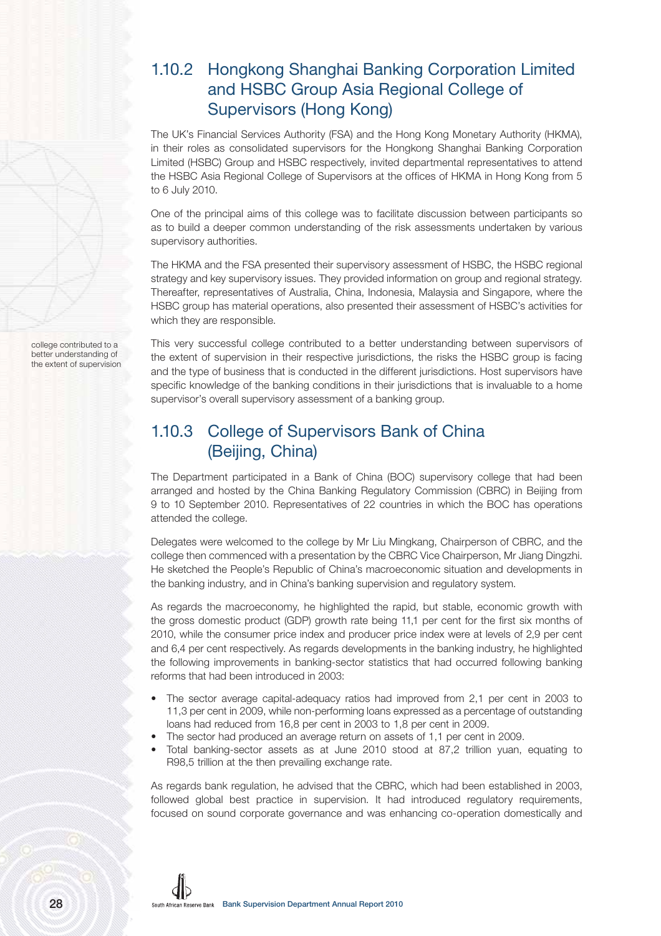## 1.10.2 Hongkong Shanghai Banking Corporation Limited and HSBC Group Asia Regional College of Supervisors (Hong Kong)

The UK's Financial Services Authority (FSA) and the Hong Kong Monetary Authority (HKMA), in their roles as consolidated supervisors for the Hongkong Shanghai Banking Corporation Limited (HSBC) Group and HSBC respectively, invited departmental representatives to attend the HSBC Asia Regional College of Supervisors at the offices of HKMA in Hong Kong from 5 to 6 July 2010.

One of the principal aims of this college was to facilitate discussion between participants so as to build a deeper common understanding of the risk assessments undertaken by various supervisory authorities.

The HKMA and the FSA presented their supervisory assessment of HSBC, the HSBC regional strategy and key supervisory issues. They provided information on group and regional strategy. Thereafter, representatives of Australia, China, Indonesia, Malaysia and Singapore, where the HSBC group has material operations, also presented their assessment of HSBC's activities for which they are responsible.

This very successful college contributed to a better understanding between supervisors of the extent of supervision in their respective jurisdictions, the risks the HSBC group is facing and the type of business that is conducted in the different jurisdictions. Host supervisors have specific knowledge of the banking conditions in their jurisdictions that is invaluable to a home supervisor's overall supervisory assessment of a banking group.

### 1.10.3 College of Supervisors Bank of China (Beijing, China)

The Department participated in a Bank of China (BOC) supervisory college that had been arranged and hosted by the China Banking Regulatory Commission (CBRC) in Beijing from 9 to 10 September 2010. Representatives of 22 countries in which the BOC has operations attended the college.

Delegates were welcomed to the college by Mr Liu Mingkang, Chairperson of CBRC, and the college then commenced with a presentation by the CBRC Vice Chairperson, Mr Jiang Dingzhi. He sketched the People's Republic of China's macroeconomic situation and developments in the banking industry, and in China's banking supervision and regulatory system.

As regards the macroeconomy, he highlighted the rapid, but stable, economic growth with the gross domestic product (GDP) growth rate being 11,1 per cent for the first six months of 2010, while the consumer price index and producer price index were at levels of 2,9 per cent and 6,4 per cent respectively. As regards developments in the banking industry, he highlighted the following improvements in banking-sector statistics that had occurred following banking reforms that had been introduced in 2003:

- The sector average capital-adequacy ratios had improved from 2,1 per cent in 2003 to 11,3 per cent in 2009, while non-performing loans expressed as a percentage of outstanding loans had reduced from 16,8 per cent in 2003 to 1,8 per cent in 2009.
- The sector had produced an average return on assets of 1,1 per cent in 2009.
- Total banking-sector assets as at June 2010 stood at 87,2 trillion yuan, equating to R98,5 trillion at the then prevailing exchange rate.

As regards bank regulation, he advised that the CBRC, which had been established in 2003, followed global best practice in supervision. It had introduced regulatory requirements, focused on sound corporate governance and was enhancing co-operation domestically and

college contributed to a better understanding of the extent of supervision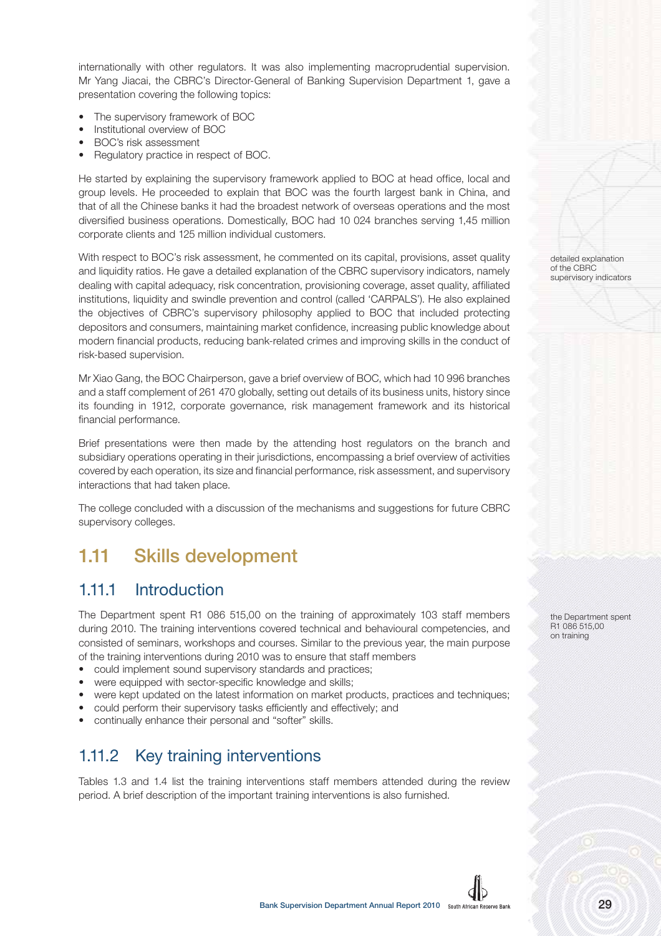internationally with other regulators. It was also implementing macroprudential supervision. Mr Yang Jiacai, the CBRC's Director-General of Banking Supervision Department 1, gave a presentation covering the following topics:

- The supervisory framework of BOC
- Institutional overview of BOC
- BOC's risk assessment
- Regulatory practice in respect of BOC.

He started by explaining the supervisory framework applied to BOC at head office, local and group levels. He proceeded to explain that BOC was the fourth largest bank in China, and that of all the Chinese banks it had the broadest network of overseas operations and the most diversified business operations. Domestically, BOC had 10 024 branches serving 1,45 million corporate clients and 125 million individual customers.

With respect to BOC's risk assessment, he commented on its capital, provisions, asset quality and liquidity ratios. He gave a detailed explanation of the CBRC supervisory indicators, namely dealing with capital adequacy, risk concentration, provisioning coverage, asset quality, affiliated institutions, liquidity and swindle prevention and control (called 'CARPALS'). He also explained the objectives of CBRC's supervisory philosophy applied to BOC that included protecting depositors and consumers, maintaining market confidence, increasing public knowledge about modern financial products, reducing bank-related crimes and improving skills in the conduct of risk-based supervision.

Mr Xiao Gang, the BOC Chairperson, gave a brief overview of BOC, which had 10 996 branches and a staff complement of 261 470 globally, setting out details of its business units, history since its founding in 1912, corporate governance, risk management framework and its historical financial performance.

Brief presentations were then made by the attending host regulators on the branch and subsidiary operations operating in their jurisdictions, encompassing a brief overview of activities covered by each operation, its size and financial performance, risk assessment, and supervisory interactions that had taken place.

The college concluded with a discussion of the mechanisms and suggestions for future CBRC supervisory colleges.

## **1.11 Skills development**

#### 1.11.1 Introduction

The Department spent R1 086 515,00 on the training of approximately 103 staff members during 2010. The training interventions covered technical and behavioural competencies, and consisted of seminars, workshops and courses. Similar to the previous year, the main purpose of the training interventions during 2010 was to ensure that staff members

- could implement sound supervisory standards and practices;
- were equipped with sector-specific knowledge and skills;
- were kept updated on the latest information on market products, practices and techniques;
- could perform their supervisory tasks efficiently and effectively; and
- continually enhance their personal and "softer" skills.

### 1.11.2 Key training interventions

Tables 1.3 and 1.4 list the training interventions staff members attended during the review period. A brief description of the important training interventions is also furnished.

detailed explanation of the CBRC supervisory indicators

the Department spent R1 086 515,00 on training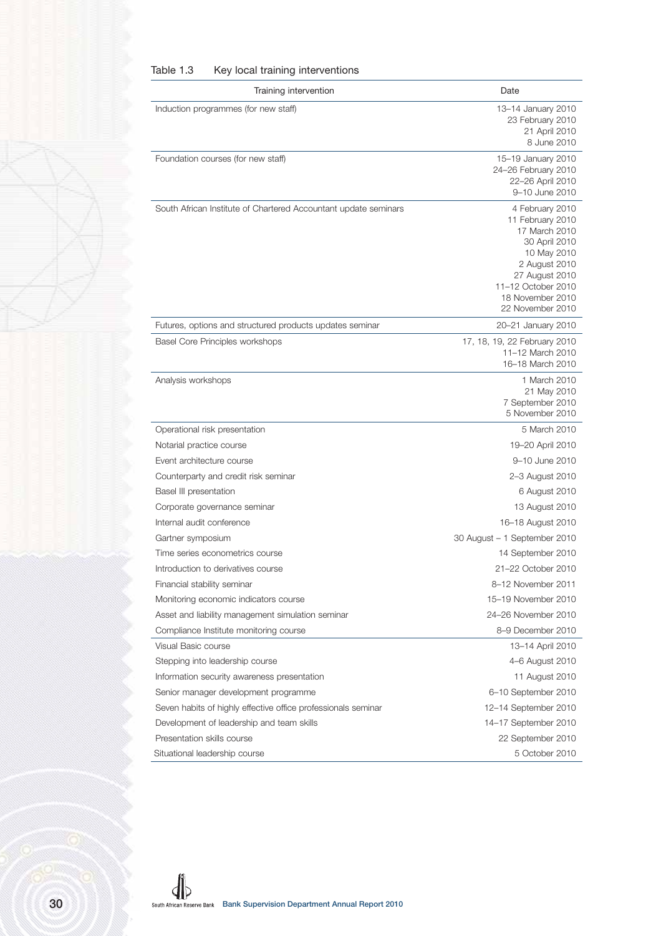| Table 1.3 | Key local training interventions |
|-----------|----------------------------------|
|-----------|----------------------------------|

| Training intervention                                           | Date                                                                                                                                                                                  |
|-----------------------------------------------------------------|---------------------------------------------------------------------------------------------------------------------------------------------------------------------------------------|
| Induction programmes (for new staff)                            | 13-14 January 2010<br>23 February 2010<br>21 April 2010<br>8 June 2010                                                                                                                |
| Foundation courses (for new staff)                              | 15-19 January 2010<br>24-26 February 2010<br>22-26 April 2010<br>9-10 June 2010                                                                                                       |
| South African Institute of Chartered Accountant update seminars | 4 February 2010<br>11 February 2010<br>17 March 2010<br>30 April 2010<br>10 May 2010<br>2 August 2010<br>27 August 2010<br>11-12 October 2010<br>18 November 2010<br>22 November 2010 |
| Futures, options and structured products updates seminar        | 20-21 January 2010                                                                                                                                                                    |
| Basel Core Principles workshops                                 | 17, 18, 19, 22 February 2010<br>11-12 March 2010<br>16-18 March 2010                                                                                                                  |
| Analysis workshops                                              | 1 March 2010<br>21 May 2010<br>7 September 2010<br>5 November 2010                                                                                                                    |
| Operational risk presentation                                   | 5 March 2010                                                                                                                                                                          |
| Notarial practice course                                        | 19-20 April 2010                                                                                                                                                                      |
| Event architecture course                                       | 9-10 June 2010                                                                                                                                                                        |
| Counterparty and credit risk seminar                            | 2-3 August 2010                                                                                                                                                                       |
| Basel III presentation                                          | 6 August 2010                                                                                                                                                                         |
| Corporate governance seminar                                    | 13 August 2010                                                                                                                                                                        |
| Internal audit conference                                       | 16-18 August 2010                                                                                                                                                                     |
| Gartner symposium                                               | 30 August - 1 September 2010                                                                                                                                                          |
| Time series econometrics course                                 | 14 September 2010                                                                                                                                                                     |
| Introduction to derivatives course                              | 21-22 October 2010                                                                                                                                                                    |
| Financial stability seminar                                     | 8-12 November 2011                                                                                                                                                                    |
| Monitoring economic indicators course                           | 15-19 November 2010                                                                                                                                                                   |
| Asset and liability management simulation seminar               | 24-26 November 2010                                                                                                                                                                   |
| Compliance Institute monitoring course                          | 8-9 December 2010                                                                                                                                                                     |
| Visual Basic course                                             | 13-14 April 2010                                                                                                                                                                      |
| Stepping into leadership course                                 | 4-6 August 2010                                                                                                                                                                       |
| Information security awareness presentation                     | 11 August 2010                                                                                                                                                                        |
| Senior manager development programme                            | 6-10 September 2010                                                                                                                                                                   |
| Seven habits of highly effective office professionals seminar   | 12-14 September 2010                                                                                                                                                                  |
| Development of leadership and team skills                       | 14-17 September 2010                                                                                                                                                                  |
| Presentation skills course                                      | 22 September 2010                                                                                                                                                                     |
| Situational leadership course                                   | 5 October 2010                                                                                                                                                                        |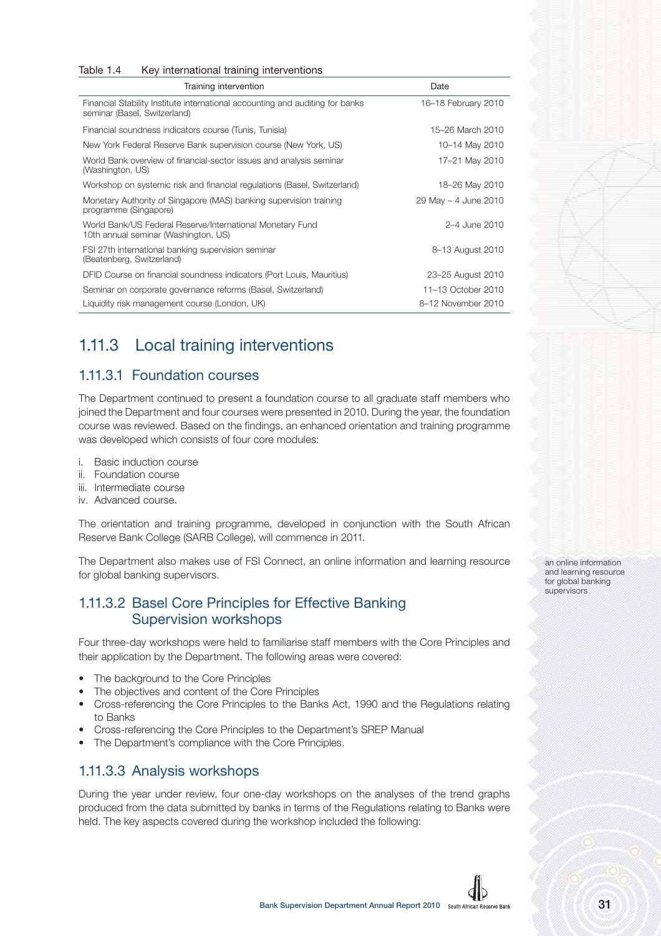| Key international training interventions<br>Table 1.4                                                         |                      |
|---------------------------------------------------------------------------------------------------------------|----------------------|
| Training intervention                                                                                         | Date                 |
| Financial Stability Institute international accounting and auditing for banks<br>seminar (Basel, Switzerland) | 16-18 February 2010  |
| Financial soundness indicators course (Tunis, Tunisia)                                                        | 15–26 March 2010     |
| New York Federal Reserve Bank supervision course (New York, US)                                               | 10-14 May 2010       |
| World Bank overview of financial-sector issues and analysis seminar<br>(Washington, US)                       | 17-21 May 2010       |
| Workshop on systemic risk and financial regulations (Basel, Switzerland)                                      | 18-26 May 2010       |
| Monetary Authority of Singapore (MAS) banking supervision training<br>programme (Singapore)                   | 29 May - 4 June 2010 |
| World Bank/US Federal Reserve/International Monetary Fund<br>10th annual seminar (Washington, US)             | 2–4 June 2010        |
| FSI 27th international banking supervision seminar<br>(Beatenberg, Switzerland)                               | 8–13 August 2010     |
| DFID Course on financial soundness indicators (Port Louis, Mauritius)                                         | 23-25 August 2010    |
| Seminar on corporate governance reforms (Basel, Switzerland)                                                  | 11-13 October 2010   |
| Liquidity risk management course (London, UK)                                                                 | 8-12 November 2010   |

## 1.11.3 Local training interventions

#### 1.11.3.1 Foundation courses

The Department continued to present a foundation course to all graduate staff members who joined the Department and four courses were presented in 2010. During the year, the foundation course was reviewed. Based on the findings, an enhanced orientation and training programme was developed which consists of four core modules:

- i. Basic induction course
- ii. Foundation course
- iii. Intermediate course
- iv. Advanced course.

The orientation and training programme, developed in conjunction with the South African Reserve Bank College (SARB College), will commence in 2011.

The Department also makes use of FSI Connect, an online information and learning resource for global banking supervisors.

#### 1.11.3.2 Basel Core Principles for Effective Banking Supervision workshops

Four three-day workshops were held to familiarise staff members with the Core Principles and their application by the Department. The following areas were covered:

- The background to the Core Principles
- The objectives and content of the Core Principles
- Cross-referencing the Core Principles to the Banks Act, 1990 and the Regulations relating to Banks
- Cross-referencing the Core Principles to the Department's SREP Manual
- The Department's compliance with the Core Principles.

#### 1.11.3.3 Analysis workshops

During the year under review, four one-day workshops on the analyses of the trend graphs produced from the data submitted by banks in terms of the Regulations relating to Banks were held. The key aspects covered during the workshop included the following:

an online information and learning resource for global banking supervisors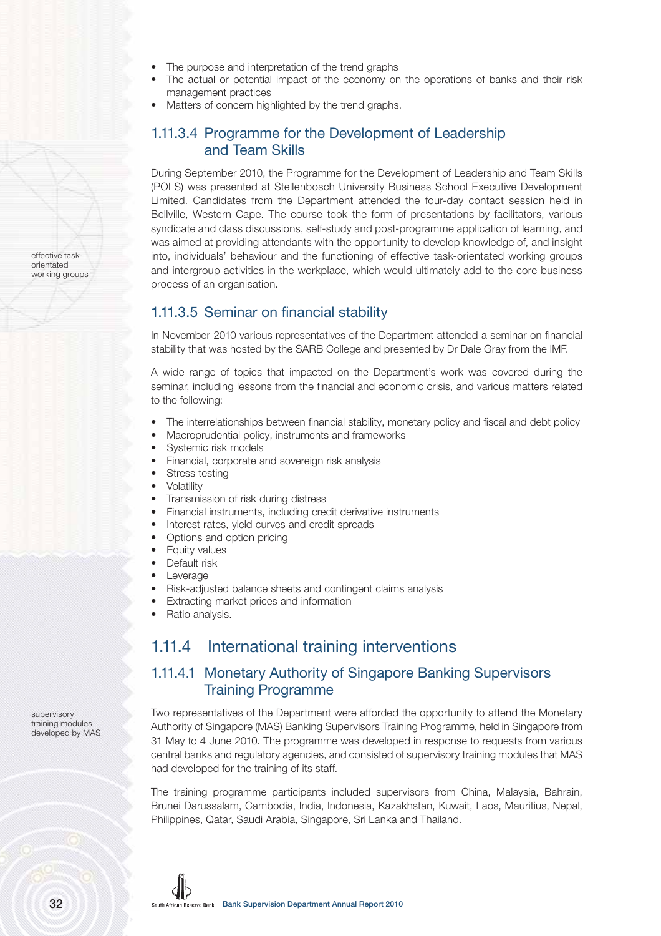- The purpose and interpretation of the trend graphs
- The actual or potential impact of the economy on the operations of banks and their risk management practices
- Matters of concern highlighted by the trend graphs.

#### 1.11.3.4 Programme for the Development of Leadership and Team Skills

During September 2010, the Programme for the Development of Leadership and Team Skills (POLS) was presented at Stellenbosch University Business School Executive Development Limited. Candidates from the Department attended the four-day contact session held in Bellville, Western Cape. The course took the form of presentations by facilitators, various syndicate and class discussions, self-study and post-programme application of learning, and was aimed at providing attendants with the opportunity to develop knowledge of, and insight into, individuals' behaviour and the functioning of effective task-orientated working groups and intergroup activities in the workplace, which would ultimately add to the core business process of an organisation.

#### 1.11.3.5 Seminar on financial stability

In November 2010 various representatives of the Department attended a seminar on financial stability that was hosted by the SARB College and presented by Dr Dale Gray from the IMF.

A wide range of topics that impacted on the Department's work was covered during the seminar, including lessons from the financial and economic crisis, and various matters related to the following:

- The interrelationships between financial stability, monetary policy and fiscal and debt policy
- Macroprudential policy, instruments and frameworks
- Systemic risk models
- Financial, corporate and sovereign risk analysis
- Stress testing
- **Volatility**
- Transmission of risk during distress
- Financial instruments, including credit derivative instruments
- Interest rates, yield curves and credit spreads
- Options and option pricing
- Equity values
- Default risk
- Leverage
- Risk-adjusted balance sheets and contingent claims analysis
- Extracting market prices and information
- Ratio analysis.

#### 1.11.4 International training interventions

#### 1.11.4.1 Monetary Authority of Singapore Banking Supervisors Training Programme

Two representatives of the Department were afforded the opportunity to attend the Monetary Authority of Singapore (MAS) Banking Supervisors Training Programme, held in Singapore from 31 May to 4 June 2010. The programme was developed in response to requests from various central banks and regulatory agencies, and consisted of supervisory training modules that MAS had developed for the training of its staff.

The training programme participants included supervisors from China, Malaysia, Bahrain, Brunei Darussalam, Cambodia, India, Indonesia, Kazakhstan, Kuwait, Laos, Mauritius, Nepal, Philippines, Qatar, Saudi Arabia, Singapore, Sri Lanka and Thailand.

supervisory training modules developed by MAS

effective taskorientated working groups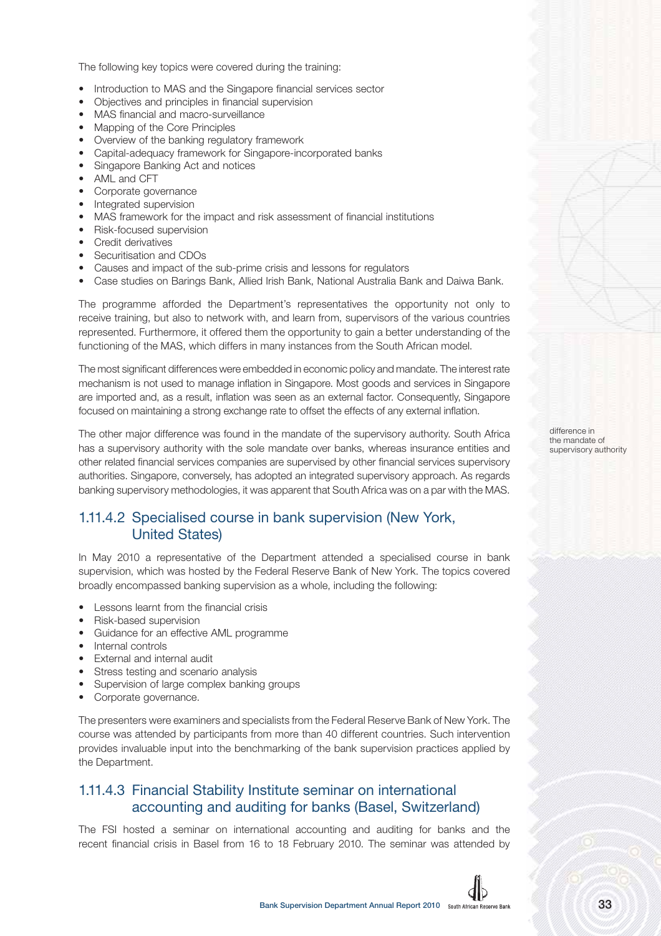The following key topics were covered during the training:

- Introduction to MAS and the Singapore financial services sector
- Objectives and principles in financial supervision
- MAS financial and macro-surveillance
- Mapping of the Core Principles
- Overview of the banking regulatory framework
- Capital-adequacy framework for Singapore-incorporated banks
- Singapore Banking Act and notices
- AML and CFT
- Corporate governance
- Integrated supervision
- MAS framework for the impact and risk assessment of financial institutions
- Risk-focused supervision
- Credit derivatives
- Securitisation and CDOs
- Causes and impact of the sub-prime crisis and lessons for regulators
- Case studies on Barings Bank, Allied Irish Bank, National Australia Bank and Daiwa Bank.

The programme afforded the Department's representatives the opportunity not only to receive training, but also to network with, and learn from, supervisors of the various countries represented. Furthermore, it offered them the opportunity to gain a better understanding of the functioning of the MAS, which differs in many instances from the South African model.

The most significant differences were embedded in economic policy and mandate. The interest rate mechanism is not used to manage inflation in Singapore. Most goods and services in Singapore are imported and, as a result, inflation was seen as an external factor. Consequently, Singapore focused on maintaining a strong exchange rate to offset the effects of any external inflation.

The other major difference was found in the mandate of the supervisory authority. South Africa has a supervisory authority with the sole mandate over banks, whereas insurance entities and other related financial services companies are supervised by other financial services supervisory authorities. Singapore, conversely, has adopted an integrated supervisory approach. As regards banking supervisory methodologies, it was apparent that South Africa was on a par with the MAS.

#### 1.11.4.2 Specialised course in bank supervision (New York, United States)

In May 2010 a representative of the Department attended a specialised course in bank supervision, which was hosted by the Federal Reserve Bank of New York. The topics covered broadly encompassed banking supervision as a whole, including the following:

- Lessons learnt from the financial crisis
- Risk-based supervision
- Guidance for an effective AML programme
- Internal controls
- External and internal audit
- Stress testing and scenario analysis
- Supervision of large complex banking groups
- Corporate governance.

The presenters were examiners and specialists from the Federal Reserve Bank of New York. The course was attended by participants from more than 40 different countries. Such intervention provides invaluable input into the benchmarking of the bank supervision practices applied by the Department.

#### 1.11.4.3 Financial Stability Institute seminar on international accounting and auditing for banks (Basel, Switzerland)

The FSI hosted a seminar on international accounting and auditing for banks and the recent financial crisis in Basel from 16 to 18 February 2010. The seminar was attended by difference in the mandate of supervisory authority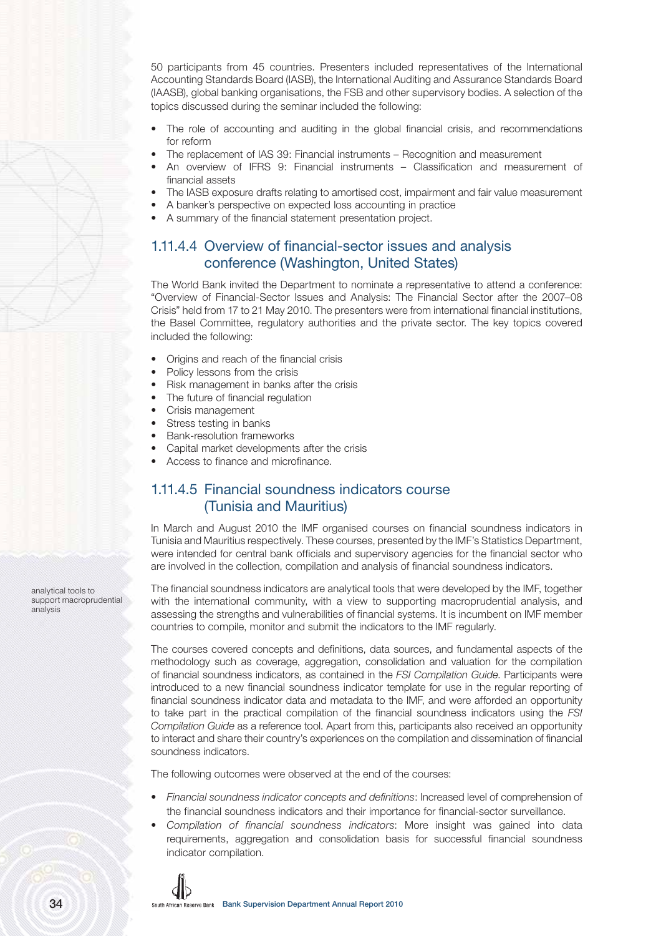50 participants from 45 countries. Presenters included representatives of the International Accounting Standards Board (IASB), the International Auditing and Assurance Standards Board (IAASB), global banking organisations, the FSB and other supervisory bodies. A selection of the topics discussed during the seminar included the following:

- The role of accounting and auditing in the global financial crisis, and recommendations for reform
- The replacement of IAS 39: Financial instruments Recognition and measurement
- An overview of IFRS 9: Financial instruments Classification and measurement of financial assets
- The IASB exposure drafts relating to amortised cost, impairment and fair value measurement
- A banker's perspective on expected loss accounting in practice
	- A summary of the financial statement presentation project.

#### 1.11.4.4 Overview of financial-sector issues and analysis conference (Washington, United States)

The World Bank invited the Department to nominate a representative to attend a conference: "Overview of Financial-Sector Issues and Analysis: The Financial Sector after the 2007–08 Crisis" held from 17 to 21 May 2010. The presenters were from international financial institutions, the Basel Committee, regulatory authorities and the private sector. The key topics covered included the following:

- Origins and reach of the financial crisis
- Policy lessons from the crisis
- Risk management in banks after the crisis
- The future of financial regulation
- Crisis management
- Stress testing in banks
- Bank-resolution frameworks
- Capital market developments after the crisis
- Access to finance and microfinance.

#### 1.11.4.5 Financial soundness indicators course (Tunisia and Mauritius)

In March and August 2010 the IMF organised courses on financial soundness indicators in Tunisia and Mauritius respectively. These courses, presented by the IMF's Statistics Department, were intended for central bank officials and supervisory agencies for the financial sector who are involved in the collection, compilation and analysis of financial soundness indicators.

The financial soundness indicators are analytical tools that were developed by the IMF, together with the international community, with a view to supporting macroprudential analysis, and assessing the strengths and vulnerabilities of financial systems. It is incumbent on IMF member countries to compile, monitor and submit the indicators to the IMF regularly.

The courses covered concepts and definitions, data sources, and fundamental aspects of the methodology such as coverage, aggregation, consolidation and valuation for the compilation of financial soundness indicators, as contained in the FSI Compilation Guide. Participants were introduced to a new financial soundness indicator template for use in the regular reporting of financial soundness indicator data and metadata to the IMF, and were afforded an opportunity to take part in the practical compilation of the financial soundness indicators using the FSI Compilation Guide as a reference tool. Apart from this, participants also received an opportunity to interact and share their country's experiences on the compilation and dissemination of financial soundness indicators.

The following outcomes were observed at the end of the courses:

- Financial soundness indicator concepts and definitions: Increased level of comprehension of the financial soundness indicators and their importance for financial-sector surveillance.
- Compilation of financial soundness indicators: More insight was gained into data requirements, aggregation and consolidation basis for successful financial soundness indicator compilation.



analytical tools to support macroprudential

analysis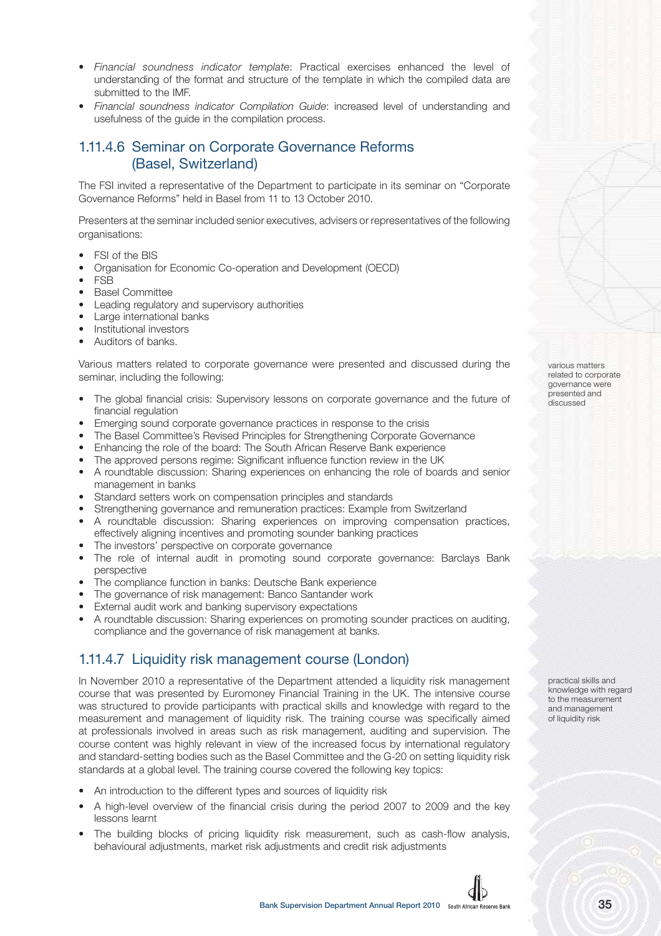- Financial soundness indicator template: Practical exercises enhanced the level of understanding of the format and structure of the template in which the compiled data are submitted to the IMF.
- Financial soundness indicator Compilation Guide: increased level of understanding and usefulness of the guide in the compilation process.

#### 1.11.4.6 Seminar on Corporate Governance Reforms (Basel, Switzerland)

The FSI invited a representative of the Department to participate in its seminar on "Corporate Governance Reforms" held in Basel from 11 to 13 October 2010.

Presenters at the seminar included senior executives, advisers or representatives of the following organisations:

- FSI of the BIS
- Organisation for Economic Co-operation and Development (OECD)
- FSB
- Basel Committee
- Leading regulatory and supervisory authorities
- Large international banks
- Institutional investors
- Auditors of banks.

Various matters related to corporate governance were presented and discussed during the seminar, including the following:

- The global financial crisis: Supervisory lessons on corporate governance and the future of financial regulation
- Emerging sound corporate governance practices in response to the crisis
- The Basel Committee's Revised Principles for Strengthening Corporate Governance
- Enhancing the role of the board: The South African Reserve Bank experience
- The approved persons regime: Significant influence function review in the UK
- A roundtable discussion: Sharing experiences on enhancing the role of boards and senior management in banks
- Standard setters work on compensation principles and standards
- Strengthening governance and remuneration practices: Example from Switzerland
- A roundtable discussion: Sharing experiences on improving compensation practices, effectively aligning incentives and promoting sounder banking practices
- The investors' perspective on corporate governance
- The role of internal audit in promoting sound corporate governance: Barclays Bank perspective
- The compliance function in banks: Deutsche Bank experience
- The governance of risk management: Banco Santander work
- External audit work and banking supervisory expectations
- A roundtable discussion: Sharing experiences on promoting sounder practices on auditing, compliance and the governance of risk management at banks.

#### 1.11.4.7 Liquidity risk management course (London)

In November 2010 a representative of the Department attended a liquidity risk management course that was presented by Euromoney Financial Training in the UK. The intensive course was structured to provide participants with practical skills and knowledge with regard to the measurement and management of liquidity risk. The training course was specifically aimed at professionals involved in areas such as risk management, auditing and supervision. The course content was highly relevant in view of the increased focus by international regulatory and standard-setting bodies such as the Basel Committee and the G-20 on setting liquidity risk standards at a global level. The training course covered the following key topics:

- An introduction to the different types and sources of liquidity risk
- A high-level overview of the financial crisis during the period 2007 to 2009 and the key lessons learnt
- The building blocks of pricing liquidity risk measurement, such as cash-flow analysis, behavioural adjustments, market risk adjustments and credit risk adjustments

various matters related to corporate governance were presented and discussed

practical skills and knowledge with regard to the measurement and management of liquidity risk

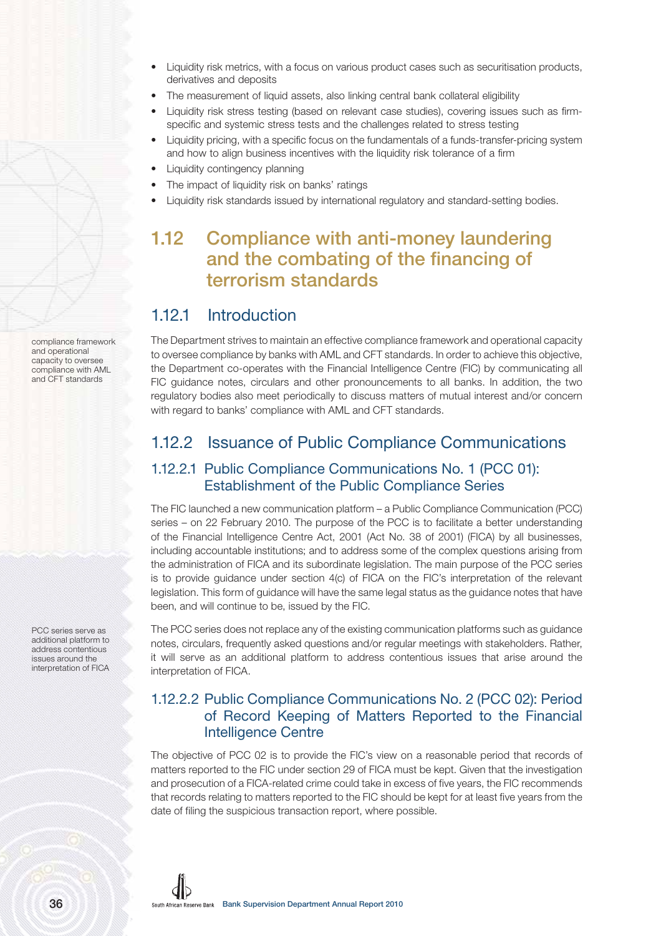- Liquidity risk metrics, with a focus on various product cases such as securitisation products, derivatives and deposits
- The measurement of liquid assets, also linking central bank collateral eligibility
- Liquidity risk stress testing (based on relevant case studies), covering issues such as firmspecific and systemic stress tests and the challenges related to stress testing
- Liquidity pricing, with a specific focus on the fundamentals of a funds-transfer-pricing system and how to align business incentives with the liquidity risk tolerance of a firm
- Liquidity contingency planning
- The impact of liquidity risk on banks' ratings
- Liquidity risk standards issued by international regulatory and standard-setting bodies.

# **1.12 Compliance with anti-money laundering and the combating of the financing of terrorism standards**

### 1.12.1 Introduction

The Department strives to maintain an effective compliance framework and operational capacity to oversee compliance by banks with AML and CFT standards. In order to achieve this objective, the Department co-operates with the Financial Intelligence Centre (FIC) by communicating all FIC guidance notes, circulars and other pronouncements to all banks. In addition, the two regulatory bodies also meet periodically to discuss matters of mutual interest and/or concern with regard to banks' compliance with AML and CFT standards.

### 1.12.2 Issuance of Public Compliance Communications

#### 1.12.2.1 Public Compliance Communications No. 1 (PCC 01): Establishment of the Public Compliance Series

The FIC launched a new communication platform – a Public Compliance Communication (PCC) series – on 22 February 2010. The purpose of the PCC is to facilitate a better understanding of the Financial Intelligence Centre Act, 2001 (Act No. 38 of 2001) (FICA) by all businesses, including accountable institutions; and to address some of the complex questions arising from the administration of FICA and its subordinate legislation. The main purpose of the PCC series is to provide guidance under section 4(c) of FICA on the FIC's interpretation of the relevant legislation. This form of guidance will have the same legal status as the guidance notes that have been, and will continue to be, issued by the FIC.

The PCC series does not replace any of the existing communication platforms such as guidance notes, circulars, frequently asked questions and/or regular meetings with stakeholders. Rather, it will serve as an additional platform to address contentious issues that arise around the interpretation of FICA.

#### 1.12.2.2 Public Compliance Communications No. 2 (PCC 02): Period of Record Keeping of Matters Reported to the Financial Intelligence Centre

The objective of PCC 02 is to provide the FIC's view on a reasonable period that records of matters reported to the FIC under section 29 of FICA must be kept. Given that the investigation and prosecution of a FICA-related crime could take in excess of five years, the FIC recommends that records relating to matters reported to the FIC should be kept for at least five years from the date of filing the suspicious transaction report, where possible.

compliance framework and operational capacity to oversee compliance with AML and CFT standards

PCC series serve as additional platform to address contentious issues around the interpretation of FICA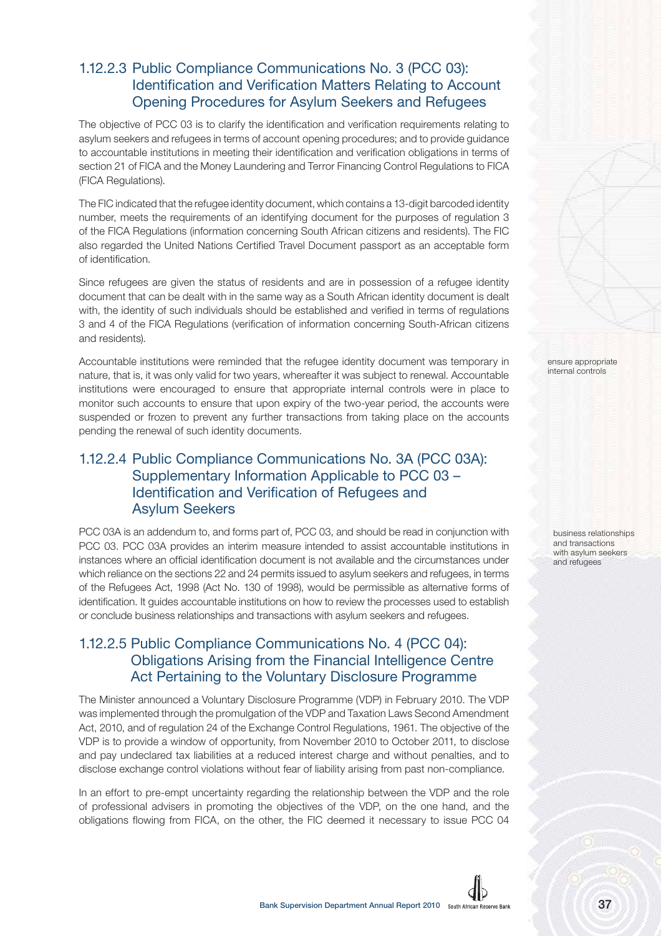#### 1.12.2.3 Public Compliance Communications No. 3 (PCC 03): Identification and Verification Matters Relating to Account Opening Procedures for Asylum Seekers and Refugees

The objective of PCC 03 is to clarify the identification and verification requirements relating to asylum seekers and refugees in terms of account opening procedures; and to provide guidance to accountable institutions in meeting their identification and verification obligations in terms of section 21 of FICA and the Money Laundering and Terror Financing Control Regulations to FICA (FICA Regulations).

The FIC indicated that the refugee identity document, which contains a 13-digit barcoded identity number, meets the requirements of an identifying document for the purposes of regulation 3 of the FICA Regulations (information concerning South African citizens and residents). The FIC also regarded the United Nations Certified Travel Document passport as an acceptable form of identification.

Since refugees are given the status of residents and are in possession of a refugee identity document that can be dealt with in the same way as a South African identity document is dealt with, the identity of such individuals should be established and verified in terms of regulations 3 and 4 of the FICA Regulations (verification of information concerning South-African citizens and residents).

Accountable institutions were reminded that the refugee identity document was temporary in nature, that is, it was only valid for two years, whereafter it was subject to renewal. Accountable institutions were encouraged to ensure that appropriate internal controls were in place to monitor such accounts to ensure that upon expiry of the two-year period, the accounts were suspended or frozen to prevent any further transactions from taking place on the accounts pending the renewal of such identity documents.

#### 1.12.2.4 Public Compliance Communications No. 3A (PCC 03A): Supplementary Information Applicable to PCC 03 – Identification and Verification of Refugees and Asylum Seekers

PCC 03A is an addendum to, and forms part of, PCC 03, and should be read in conjunction with PCC 03. PCC 03A provides an interim measure intended to assist accountable institutions in instances where an official identification document is not available and the circumstances under which reliance on the sections 22 and 24 permits issued to asylum seekers and refugees, in terms of the Refugees Act, 1998 (Act No. 130 of 1998), would be permissible as alternative forms of identification. It guides accountable institutions on how to review the processes used to establish or conclude business relationships and transactions with asylum seekers and refugees.

#### 1.12.2.5 Public Compliance Communications No. 4 (PCC 04): Obligations Arising from the Financial Intelligence Centre Act Pertaining to the Voluntary Disclosure Programme

The Minister announced a Voluntary Disclosure Programme (VDP) in February 2010. The VDP was implemented through the promulgation of the VDP and Taxation Laws Second Amendment Act, 2010, and of regulation 24 of the Exchange Control Regulations, 1961. The objective of the VDP is to provide a window of opportunity, from November 2010 to October 2011, to disclose and pay undeclared tax liabilities at a reduced interest charge and without penalties, and to disclose exchange control violations without fear of liability arising from past non-compliance.

In an effort to pre-empt uncertainty regarding the relationship between the VDP and the role of professional advisers in promoting the objectives of the VDP, on the one hand, and the obligations flowing from FICA, on the other, the FIC deemed it necessary to issue PCC 04

ensure appropriate internal controls

business relationships and transactions with asylum seekers and refugees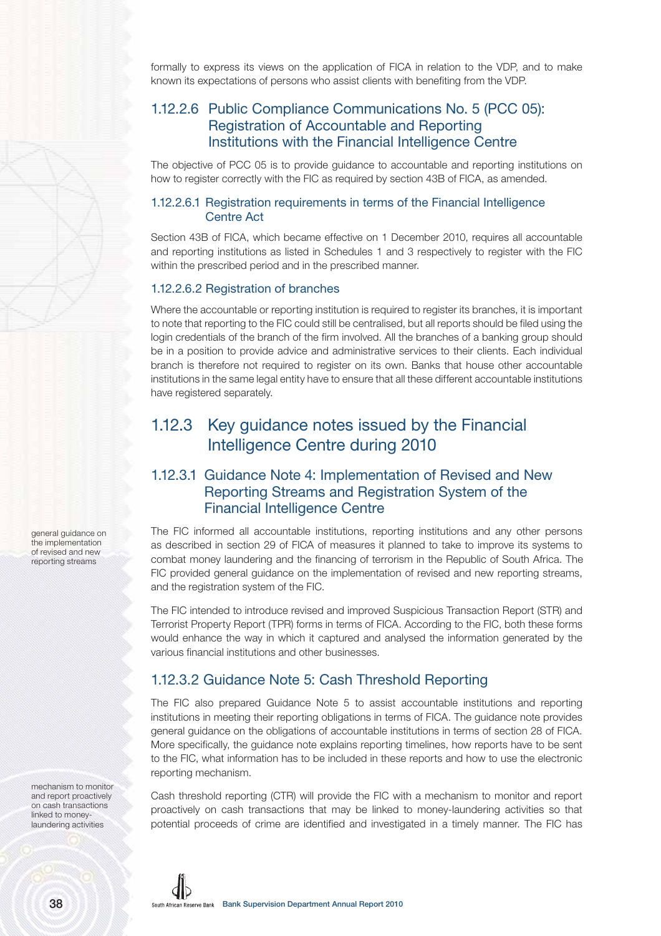formally to express its views on the application of FICA in relation to the VDP, and to make known its expectations of persons who assist clients with benefiting from the VDP.

#### 1.12.2.6 Public Compliance Communications No. 5 (PCC 05): Registration of Accountable and Reporting Institutions with the Financial Intelligence Centre

The objective of PCC 05 is to provide guidance to accountable and reporting institutions on how to register correctly with the FIC as required by section 43B of FICA, as amended.

#### 1.12.2.6.1 Registration requirements in terms of the Financial Intelligence Centre Act

Section 43B of FICA, which became effective on 1 December 2010, requires all accountable and reporting institutions as listed in Schedules 1 and 3 respectively to register with the FIC within the prescribed period and in the prescribed manner.

#### 1.12.2.6.2 Registration of branches

Where the accountable or reporting institution is required to register its branches, it is important to note that reporting to the FIC could still be centralised, but all reports should be filed using the login credentials of the branch of the firm involved. All the branches of a banking group should be in a position to provide advice and administrative services to their clients. Each individual branch is therefore not required to register on its own. Banks that house other accountable institutions in the same legal entity have to ensure that all these different accountable institutions have registered separately.

### 1.12.3 Key guidance notes issued by the Financial Intelligence Centre during 2010

#### 1.12.3.1 Guidance Note 4: Implementation of Revised and New Reporting Streams and Registration System of the Financial Intelligence Centre

The FIC informed all accountable institutions, reporting institutions and any other persons as described in section 29 of FICA of measures it planned to take to improve its systems to combat money laundering and the financing of terrorism in the Republic of South Africa. The FIC provided general guidance on the implementation of revised and new reporting streams, and the registration system of the FIC.

The FIC intended to introduce revised and improved Suspicious Transaction Report (STR) and Terrorist Property Report (TPR) forms in terms of FICA. According to the FIC, both these forms would enhance the way in which it captured and analysed the information generated by the various financial institutions and other businesses.

#### 1.12.3.2 Guidance Note 5: Cash Threshold Reporting

The FIC also prepared Guidance Note 5 to assist accountable institutions and reporting institutions in meeting their reporting obligations in terms of FICA. The guidance note provides general guidance on the obligations of accountable institutions in terms of section 28 of FICA. More specifically, the guidance note explains reporting timelines, how reports have to be sent to the FIC, what information has to be included in these reports and how to use the electronic reporting mechanism.

Cash threshold reporting (CTR) will provide the FIC with a mechanism to monitor and report proactively on cash transactions that may be linked to money-laundering activities so that potential proceeds of crime are identified and investigated in a timely manner. The FIC has

general guidance on the implementation of revised and new reporting streams

mechanism to monitor and report proactively on cash transactions linked to moneylaundering activities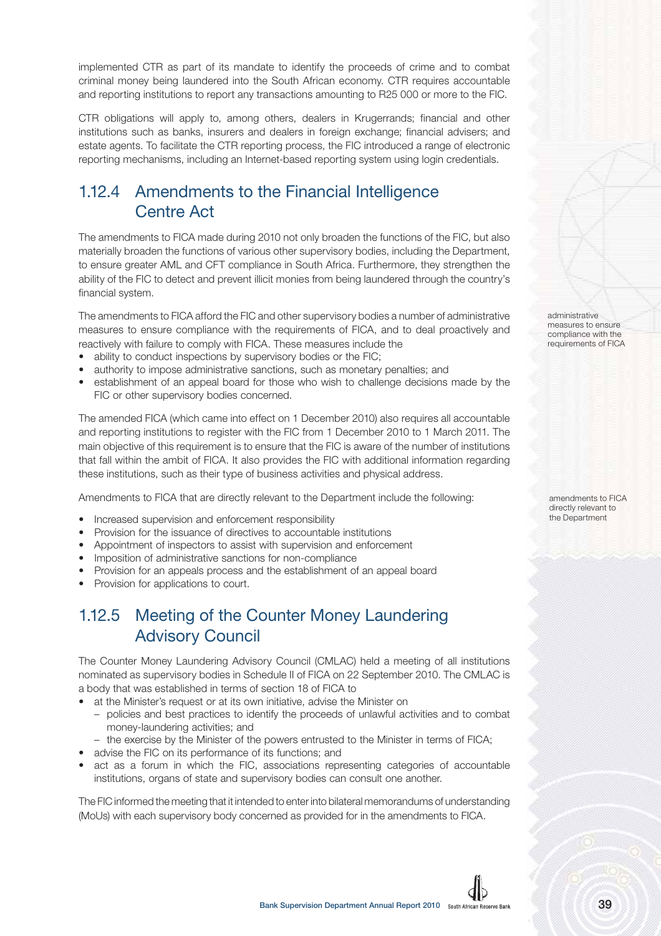implemented CTR as part of its mandate to identify the proceeds of crime and to combat criminal money being laundered into the South African economy. CTR requires accountable and reporting institutions to report any transactions amounting to R25 000 or more to the FIC.

CTR obligations will apply to, among others, dealers in Krugerrands; financial and other institutions such as banks, insurers and dealers in foreign exchange; financial advisers; and estate agents. To facilitate the CTR reporting process, the FIC introduced a range of electronic reporting mechanisms, including an Internet-based reporting system using login credentials.

### 1.12.4 Amendments to the Financial Intelligence Centre Act

The amendments to FICA made during 2010 not only broaden the functions of the FIC, but also materially broaden the functions of various other supervisory bodies, including the Department, to ensure greater AML and CFT compliance in South Africa. Furthermore, they strengthen the ability of the FIC to detect and prevent illicit monies from being laundered through the country's financial system.

The amendments to FICA afford the FIC and other supervisory bodies a number of administrative measures to ensure compliance with the requirements of FICA, and to deal proactively and reactively with failure to comply with FICA. These measures include the

- ability to conduct inspections by supervisory bodies or the FIC;
- authority to impose administrative sanctions, such as monetary penalties; and
- establishment of an appeal board for those who wish to challenge decisions made by the FIC or other supervisory bodies concerned.

The amended FICA (which came into effect on 1 December 2010) also requires all accountable and reporting institutions to register with the FIC from 1 December 2010 to 1 March 2011. The main objective of this requirement is to ensure that the FIC is aware of the number of institutions that fall within the ambit of FICA. It also provides the FIC with additional information regarding these institutions, such as their type of business activities and physical address.

Amendments to FICA that are directly relevant to the Department include the following:

- Increased supervision and enforcement responsibility
- Provision for the issuance of directives to accountable institutions
- Appointment of inspectors to assist with supervision and enforcement
- Imposition of administrative sanctions for non-compliance
- Provision for an appeals process and the establishment of an appeal board
- Provision for applications to court.

### 1.12.5 Meeting of the Counter Money Laundering Advisory Council

The Counter Money Laundering Advisory Council (CMLAC) held a meeting of all institutions nominated as supervisory bodies in Schedule II of FICA on 22 September 2010. The CMLAC is a body that was established in terms of section 18 of FICA to

- at the Minister's request or at its own initiative, advise the Minister on
	- policies and best practices to identify the proceeds of unlawful activities and to combat money-laundering activities; and
	- the exercise by the Minister of the powers entrusted to the Minister in terms of FICA;
- advise the FIC on its performance of its functions; and
- act as a forum in which the FIC, associations representing categories of accountable institutions, organs of state and supervisory bodies can consult one another.

The FIC informed the meeting that it intended to enter into bilateral memorandums of understanding (MoUs) with each supervisory body concerned as provided for in the amendments to FICA.

administrative measures to ensure compliance with the requirements of FICA

amendments to FICA directly relevant to the Department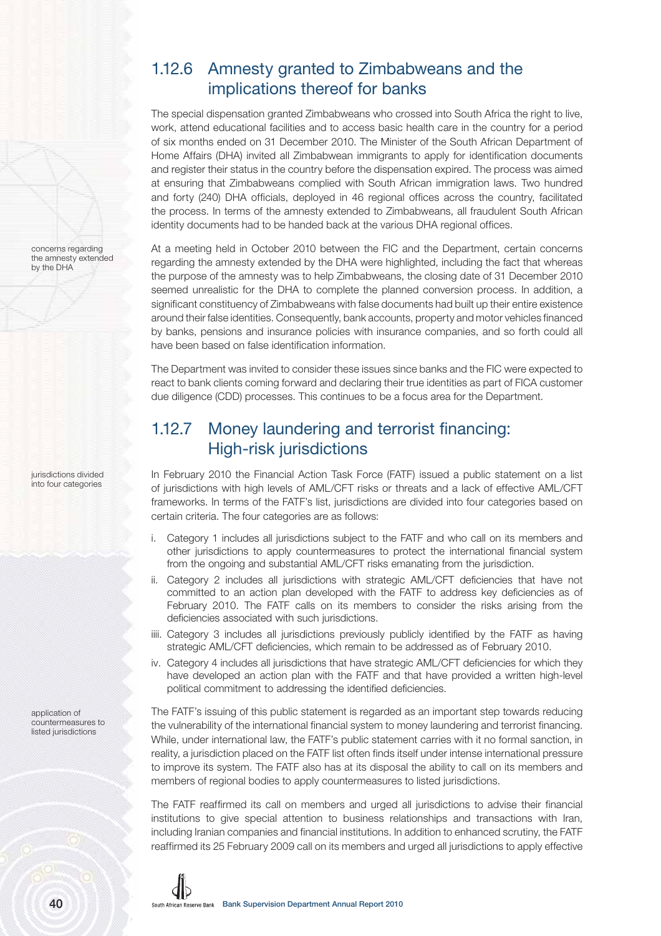### 1.12.6 Amnesty granted to Zimbabweans and the implications thereof for banks

The special dispensation granted Zimbabweans who crossed into South Africa the right to live, work, attend educational facilities and to access basic health care in the country for a period of six months ended on 31 December 2010. The Minister of the South African Department of Home Affairs (DHA) invited all Zimbabwean immigrants to apply for identification documents and register their status in the country before the dispensation expired. The process was aimed at ensuring that Zimbabweans complied with South African immigration laws. Two hundred and forty (240) DHA officials, deployed in 46 regional offices across the country, facilitated the process. In terms of the amnesty extended to Zimbabweans, all fraudulent South African identity documents had to be handed back at the various DHA regional offices.

At a meeting held in October 2010 between the FIC and the Department, certain concerns regarding the amnesty extended by the DHA were highlighted, including the fact that whereas the purpose of the amnesty was to help Zimbabweans, the closing date of 31 December 2010 seemed unrealistic for the DHA to complete the planned conversion process. In addition, a significant constituency of Zimbabweans with false documents had built up their entire existence around their false identities. Consequently, bank accounts, property and motor vehicles financed by banks, pensions and insurance policies with insurance companies, and so forth could all have been based on false identification information.

The Department was invited to consider these issues since banks and the FIC were expected to react to bank clients coming forward and declaring their true identities as part of FICA customer due diligence (CDD) processes. This continues to be a focus area for the Department.

### 1.12.7 Money laundering and terrorist financing: High-risk jurisdictions

In February 2010 the Financial Action Task Force (FATF) issued a public statement on a list of jurisdictions with high levels of AML/CFT risks or threats and a lack of effective AML/CFT frameworks. In terms of the FATF's list, jurisdictions are divided into four categories based on certain criteria. The four categories are as follows:

- i. Category 1 includes all jurisdictions subject to the FATF and who call on its members and other jurisdictions to apply countermeasures to protect the international financial system from the ongoing and substantial AML/CFT risks emanating from the jurisdiction.
- ii. Category 2 includes all jurisdictions with strategic AML/CFT deficiencies that have not committed to an action plan developed with the FATF to address key deficiencies as of February 2010. The FATF calls on its members to consider the risks arising from the deficiencies associated with such jurisdictions.
- iiii. Category 3 includes all jurisdictions previously publicly identified by the FATF as having strategic AML/CFT deficiencies, which remain to be addressed as of February 2010.
- iv. Category 4 includes all jurisdictions that have strategic AML/CFT deficiencies for which they have developed an action plan with the FATF and that have provided a written high-level political commitment to addressing the identified deficiencies.

The FATF's issuing of this public statement is regarded as an important step towards reducing the vulnerability of the international financial system to money laundering and terrorist financing. While, under international law, the FATF's public statement carries with it no formal sanction, in reality, a jurisdiction placed on the FATF list often finds itself under intense international pressure to improve its system. The FATF also has at its disposal the ability to call on its members and members of regional bodies to apply countermeasures to listed jurisdictions.

The FATF reaffirmed its call on members and urged all jurisdictions to advise their financial institutions to give special attention to business relationships and transactions with Iran, including Iranian companies and financial institutions. In addition to enhanced scrutiny, the FATF reaffirmed its 25 February 2009 call on its members and urged all jurisdictions to apply effective



concerns regarding

jurisdictions divided into four categories

application of countermeasures to listed jurisdictions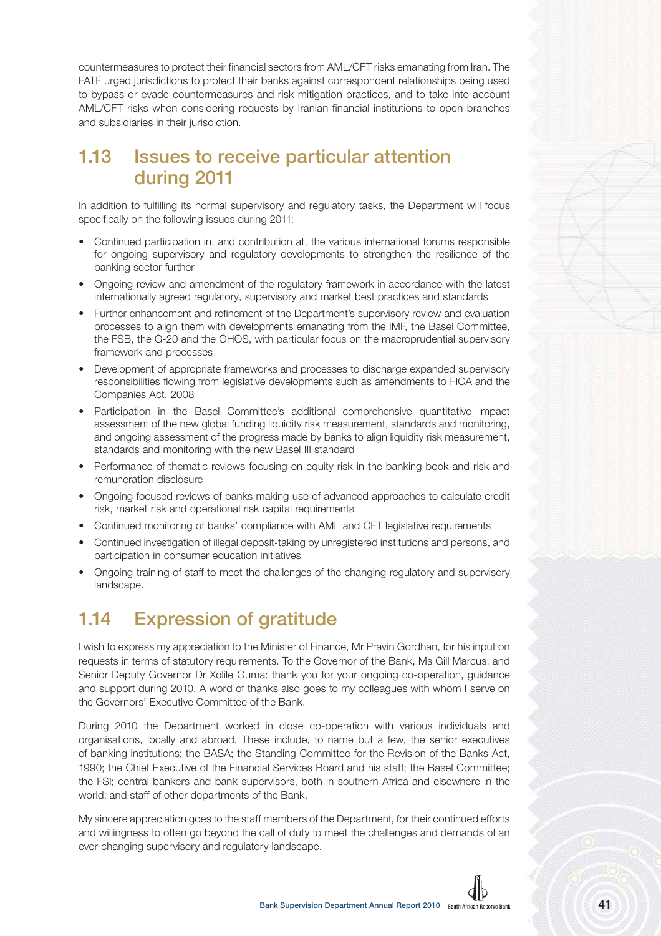countermeasures to protect their financial sectors from AML/CFT risks emanating from Iran. The FATF urged jurisdictions to protect their banks against correspondent relationships being used to bypass or evade countermeasures and risk mitigation practices, and to take into account AML/CFT risks when considering requests by Iranian financial institutions to open branches and subsidiaries in their jurisdiction.

# **1.13 Issues to receive particular attention during 2011**

In addition to fulfilling its normal supervisory and regulatory tasks, the Department will focus specifically on the following issues during 2011:

- Continued participation in, and contribution at, the various international forums responsible for ongoing supervisory and regulatory developments to strengthen the resilience of the banking sector further
- Ongoing review and amendment of the regulatory framework in accordance with the latest internationally agreed regulatory, supervisory and market best practices and standards
- Further enhancement and refinement of the Department's supervisory review and evaluation processes to align them with developments emanating from the IMF, the Basel Committee, the FSB, the G-20 and the GHOS, with particular focus on the macroprudential supervisory framework and processes
- Development of appropriate frameworks and processes to discharge expanded supervisory responsibilities flowing from legislative developments such as amendments to FICA and the Companies Act, 2008
- Participation in the Basel Committee's additional comprehensive quantitative impact assessment of the new global funding liquidity risk measurement, standards and monitoring, and ongoing assessment of the progress made by banks to align liquidity risk measurement, standards and monitoring with the new Basel III standard
- Performance of thematic reviews focusing on equity risk in the banking book and risk and remuneration disclosure
- Ongoing focused reviews of banks making use of advanced approaches to calculate credit risk, market risk and operational risk capital requirements
- Continued monitoring of banks' compliance with AML and CFT legislative requirements
- Continued investigation of illegal deposit-taking by unregistered institutions and persons, and participation in consumer education initiatives
- Ongoing training of staff to meet the challenges of the changing regulatory and supervisory landscape.

# **1.14 Expression of gratitude**

I wish to express my appreciation to the Minister of Finance, Mr Pravin Gordhan, for his input on requests in terms of statutory requirements. To the Governor of the Bank, Ms Gill Marcus, and Senior Deputy Governor Dr Xolile Guma: thank you for your ongoing co-operation, guidance and support during 2010. A word of thanks also goes to my colleagues with whom I serve on the Governors' Executive Committee of the Bank.

During 2010 the Department worked in close co-operation with various individuals and organisations, locally and abroad. These include, to name but a few, the senior executives of banking institutions; the BASA; the Standing Committee for the Revision of the Banks Act, 1990; the Chief Executive of the Financial Services Board and his staff; the Basel Committee; the FSI; central bankers and bank supervisors, both in southern Africa and elsewhere in the world; and staff of other departments of the Bank.

My sincere appreciation goes to the staff members of the Department, for their continued efforts and willingness to often go beyond the call of duty to meet the challenges and demands of an ever-changing supervisory and regulatory landscape.